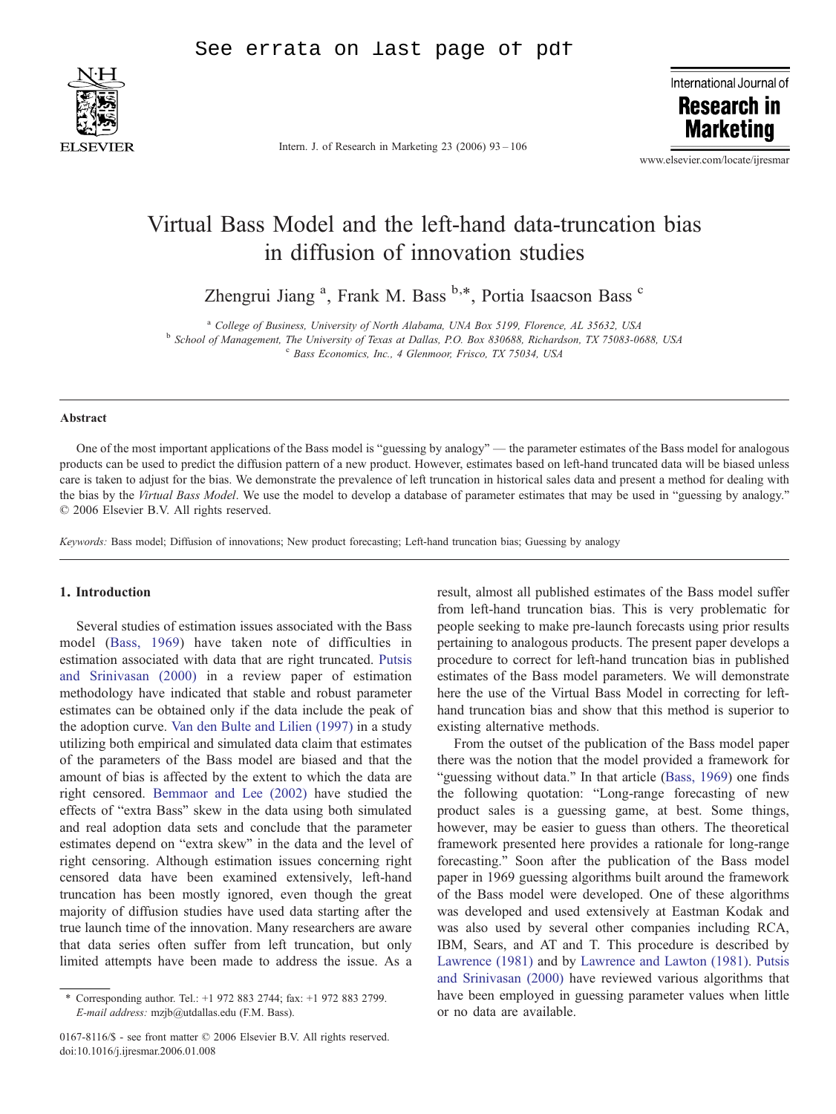

International, lournal of

**Research in Marketing** 

Intern. J. of Research in Marketing 23 (2006) 93–106

www.elsevier.com/locate/ijresmar

# Virtual Bass Model and the left-hand data-truncation bias in diffusion of innovation studies

Zhengrui Jiang<sup>a</sup>, Frank M. Bass<sup>b,\*</sup>, Portia Isaacson Bass<sup>c</sup>

<sup>a</sup> College of Business, University of North Alabama, UNA Box 5199, Florence, AL 35632, USA<br><sup>b</sup> School of Management, The University of Texas at Dallas, P.O. Box 830688, Richardson, TX 75083-0688, USA<br><sup>c</sup> Bass Economics,

### **Abstract**

One of the most important applications of the Bass model is "guessing by analogy" — the parameter estimates of the Bass model for analogous products can be used to predict the diffusion pattern of a new product. However, estimates based on left-hand truncated data will be biased unless care is taken to adjust for the bias. We demonstrate the prevalence of left truncation in historical sales data and present a method for dealing with the bias by the Virtual Bass Model. We use the model to develop a database of parameter estimates that may be used in "guessing by analogy." © 2006 Elsevier B.V. All rights reserved.

Keywords: Bass model; Diffusion of innovations; New product forecasting; Left-hand truncation bias; Guessing by analogy

### 1. Introduction

Several studies of estimation issues associated with the Bass model [\(Bass, 1969](#page-13-0)) have taken note of difficulties in estimation associated with data that are right truncated. [Putsis](#page-13-0) [and Srinivasan \(2000\)](#page-13-0) in a review paper of estimation methodology have indicated that stable and robust parameter estimates can be obtained only if the data include the peak of the adoption curve. [Van den Bulte and Lilien \(1997\)](#page-13-0) in a study utilizing both empirical and simulated data claim that estimates of the parameters of the Bass model are biased and that the amount of bias is affected by the extent to which the data are right censored. [Bemmaor and Lee \(2002\)](#page-13-0) have studied the effects of "extra Bass" skew in the data using both simulated and real adoption data sets and conclude that the parameter estimates depend on "extra skew" in the data and the level of right censoring. Although estimation issues concerning right censored data have been examined extensively, left-hand truncation has been mostly ignored, even though the great majority of diffusion studies have used data starting after the true launch time of the innovation. Many researchers are aware that data series often suffer from left truncation, but only limited attempts have been made to address the issue. As a

0167-8116/\$ - see front matter © 2006 Elsevier B.V. All rights reserved. doi:10.1016/j.ijresmar.2006.01.008

result, almost all published estimates of the Bass model suffer from left-hand truncation bias. This is very problematic for people seeking to make pre-launch forecasts using prior results pertaining to analogous products. The present paper develops a procedure to correct for left-hand truncation bias in published estimates of the Bass model parameters. We will demonstrate here the use of the Virtual Bass Model in correcting for lefthand truncation bias and show that this method is superior to existing alternative methods.

From the outset of the publication of the Bass model paper there was the notion that the model provided a framework for "guessing without data." In that article [\(Bass, 1969\)](#page-13-0) one finds the following quotation: "Long-range forecasting of new product sales is a guessing game, at best. Some things, however, may be easier to guess than others. The theoretical framework presented here provides a rationale for long-range forecasting." Soon after the publication of the Bass model paper in 1969 guessing algorithms built around the framework of the Bass model were developed. One of these algorithms was developed and used extensively at Eastman Kodak and was also used by several other companies including RCA, IBM, Sears, and AT and T. This procedure is described by [Lawrence \(1981\)](#page-13-0) and by [Lawrence and Lawton \(1981\)](#page-13-0). [Putsis](#page-13-0) [and Srinivasan \(2000\)](#page-13-0) have reviewed various algorithms that have been employed in guessing parameter values when little or no data are available.

<sup>⁎</sup> Corresponding author. Tel.: +1 972 883 2744; fax: +1 972 883 2799. E-mail address: mzjb@utdallas.edu (F.M. Bass).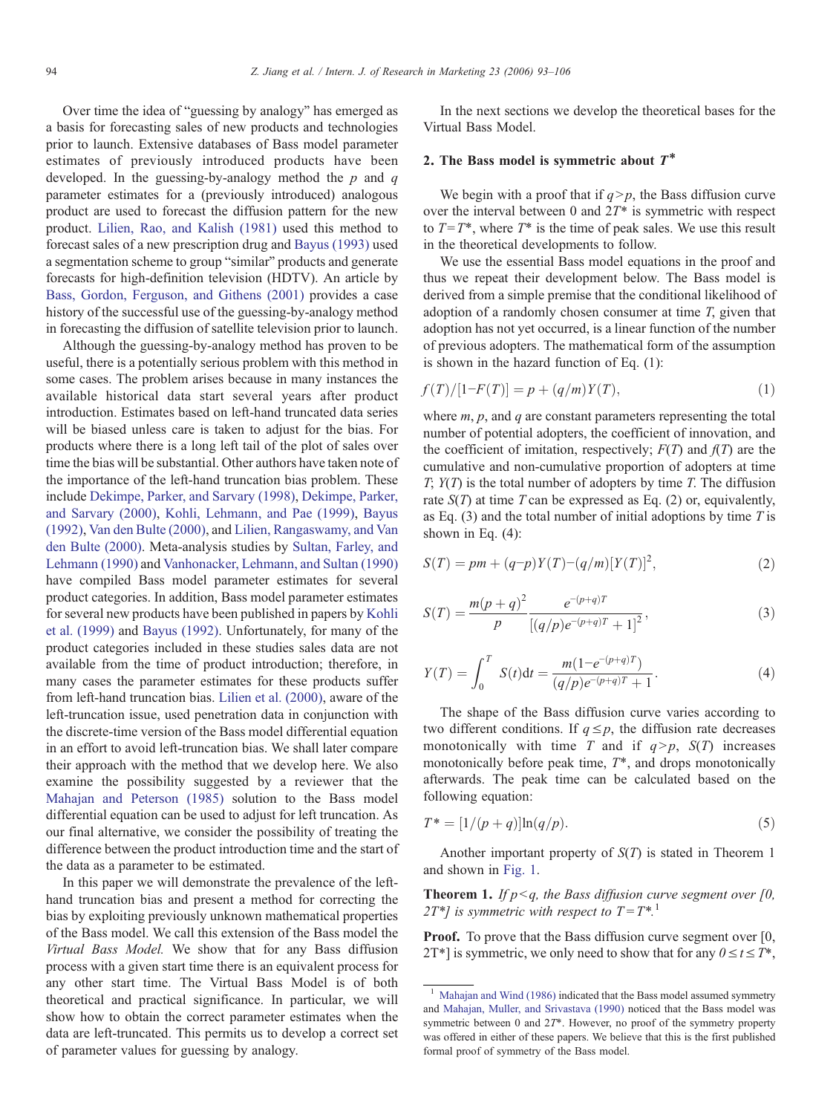Over time the idea of "guessing by analogy" has emerged as a basis for forecasting sales of new products and technologies prior to launch. Extensive databases of Bass model parameter estimates of previously introduced products have been developed. In the guessing-by-analogy method the  $p$  and  $q$ parameter estimates for a (previously introduced) analogous product are used to forecast the diffusion pattern for the new product. [Lilien, Rao, and Kalish \(1981\)](#page-13-0) used this method to forecast sales of a new prescription drug and [Bayus \(1993\)](#page-13-0) used a segmentation scheme to group "similar" products and generate forecasts for high-definition television (HDTV). An article by [Bass, Gordon, Ferguson, and Githens \(2001\)](#page-13-0) provides a case history of the successful use of the guessing-by-analogy method in forecasting the diffusion of satellite television prior to launch.

Although the guessing-by-analogy method has proven to be useful, there is a potentially serious problem with this method in some cases. The problem arises because in many instances the available historical data start several years after product introduction. Estimates based on left-hand truncated data series will be biased unless care is taken to adjust for the bias. For products where there is a long left tail of the plot of sales over time the bias will be substantial. Other authors have taken note of the importance of the left-hand truncation bias problem. These include [Dekimpe, Parker, and Sarvary \(1998\)](#page-13-0), [Dekimpe, Parker,](#page-13-0) [and Sarvary \(2000\),](#page-13-0) [Kohli, Lehmann, and Pae \(1999\),](#page-13-0) [Bayus](#page-13-0) [\(1992\)](#page-13-0), [Van den Bulte \(2000\),](#page-13-0) and [Lilien, Rangaswamy, and Van](#page-13-0) [den Bulte \(2000\)](#page-13-0). Meta-analysis studies by [Sultan, Farley, and](#page-13-0) [Lehmann \(1990\)](#page-13-0) and [Vanhonacker, Lehmann, and Sultan \(1990\)](#page-13-0) have compiled Bass model parameter estimates for several product categories. In addition, Bass model parameter estimates for several new products have been published in papers by [Kohli](#page-13-0) [et al. \(1999\)](#page-13-0) and [Bayus \(1992\).](#page-13-0) Unfortunately, for many of the product categories included in these studies sales data are not available from the time of product introduction; therefore, in many cases the parameter estimates for these products suffer from left-hand truncation bias. [Lilien et al. \(2000\),](#page-13-0) aware of the left-truncation issue, used penetration data in conjunction with the discrete-time version of the Bass model differential equation in an effort to avoid left-truncation bias. We shall later compare their approach with the method that we develop here. We also examine the possibility suggested by a reviewer that the [Mahajan and Peterson \(1985\)](#page-13-0) solution to the Bass model differential equation can be used to adjust for left truncation. As our final alternative, we consider the possibility of treating the difference between the product introduction time and the start of the data as a parameter to be estimated.

In this paper we will demonstrate the prevalence of the lefthand truncation bias and present a method for correcting the bias by exploiting previously unknown mathematical properties of the Bass model. We call this extension of the Bass model the Virtual Bass Model. We show that for any Bass diffusion process with a given start time there is an equivalent process for any other start time. The Virtual Bass Model is of both theoretical and practical significance. In particular, we will show how to obtain the correct parameter estimates when the data are left-truncated. This permits us to develop a correct set of parameter values for guessing by analogy.

In the next sections we develop the theoretical bases for the Virtual Bass Model.

# 2. The Bass model is symmetric about  $T^*$

We begin with a proof that if  $q > p$ , the Bass diffusion curve over the interval between 0 and  $2T^*$  is symmetric with respect to  $T=T^*$ , where  $T^*$  is the time of peak sales. We use this result in the theoretical developments to follow.

We use the essential Bass model equations in the proof and thus we repeat their development below. The Bass model is derived from a simple premise that the conditional likelihood of adoption of a randomly chosen consumer at time  $T$ , given that adoption has not yet occurred, is a linear function of the number of previous adopters. The mathematical form of the assumption is shown in the hazard function of Eq. (1):

$$
f(T)/[1-F(T)] = p + (q/m)Y(T),
$$
\n(1)

where  $m$ ,  $p$ , and  $q$  are constant parameters representing the total number of potential adopters, the coefficient of innovation, and the coefficient of imitation, respectively;  $F(T)$  and  $f(T)$  are the cumulative and non-cumulative proportion of adopters at time  $T: Y(T)$  is the total number of adopters by time T. The diffusion rate  $S(T)$  at time T can be expressed as Eq. (2) or, equivalently, as Eq.  $(3)$  and the total number of initial adoptions by time T is shown in Eq.  $(4)$ :

$$
S(T) = pm + (q-p)Y(T) - (q/m)[Y(T)]^{2},
$$
\n(2)

$$
S(T) = \frac{m(p+q)^2}{p} \frac{e^{-(p+q)T}}{\left[ (q/p)e^{-(p+q)T} + 1 \right]^2},\tag{3}
$$

$$
Y(T) = \int_0^T S(t)dt = \frac{m(1 - e^{-(p+q)T})}{(q/p)e^{-(p+q)T} + 1}.
$$
 (4)

The shape of the Bass diffusion curve varies according to two different conditions. If  $q \leq p$ , the diffusion rate decreases monotonically with time T and if  $q > p$ ,  $S(T)$  increases monotonically before peak time,  $T^*$ , and drops monotonically afterwards. The peak time can be calculated based on the following equation:

$$
T^* = [1/(p+q)]\ln(q/p).
$$
 (5)

Another important property of  $S(T)$  is stated in Theorem 1 and shown in [Fig. 1](#page-2-0).

**Theorem 1.** If  $p < q$ , the Bass diffusion curve segment over [0, 2T<sup>\*</sup>] is symmetric with respect to  $T = T^*$ .<sup>1</sup>

**Proof.** To prove that the Bass diffusion curve segment over [0, 2T<sup>\*</sup>] is symmetric, we only need to show that for any  $0 \le t \le T^*$ ,

 $1$ [Mahajan and Wind \(1986\)](#page-13-0) indicated that the Bass model assumed symmetry and [Mahajan, Muller, and Srivastava \(1990\)](#page-13-0) noticed that the Bass model was symmetric between 0 and  $2T^*$ . However, no proof of the symmetry property was offered in either of these papers. We believe that this is the first published formal proof of symmetry of the Bass model.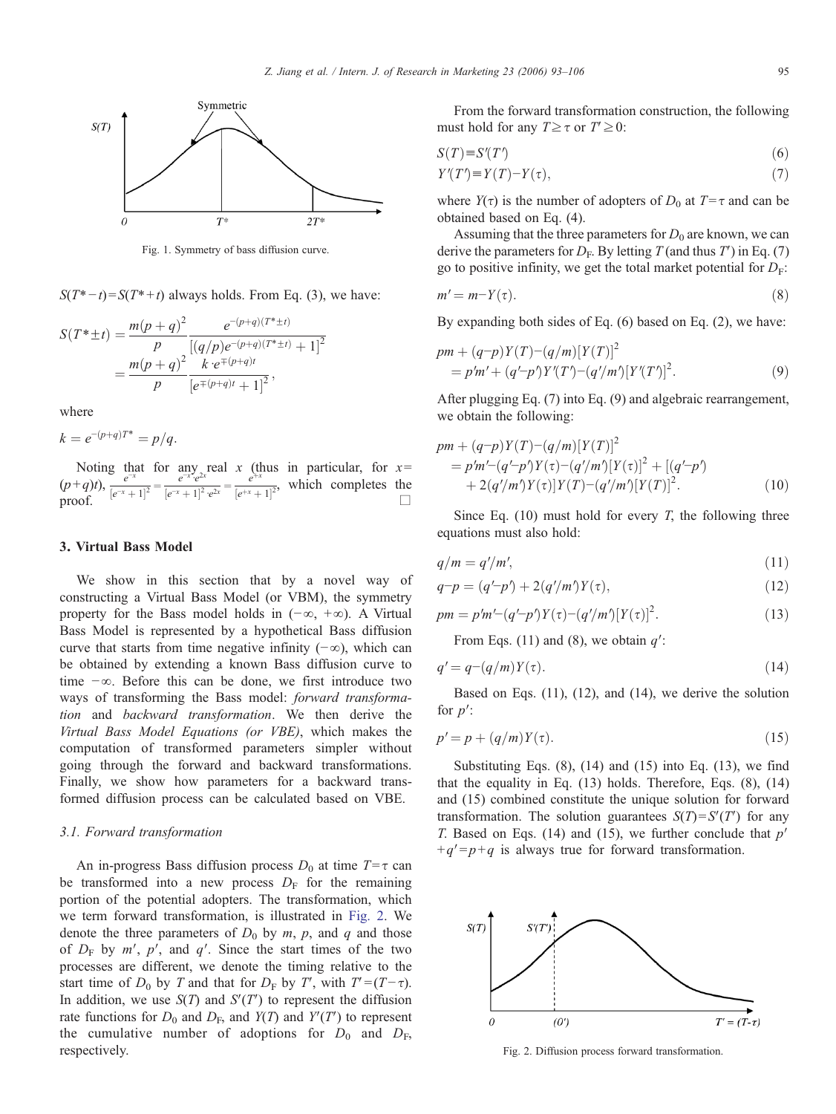<span id="page-2-0"></span>

Fig. 1. Symmetry of bass diffusion curve.

 $S(T^*-t) = S(T^*+t)$  always holds. From Eq. (3), we have:

$$
S(T^* \pm t) = \frac{m(p+q)^2}{p} \frac{e^{-(p+q)(T^* \pm t)}}{[(q/p)e^{-(p+q)(T^* \pm t)} + 1]^2}
$$

$$
= \frac{m(p+q)^2}{p} \frac{k e^{\mp (p+q)t}}{[e^{\mp (p+q)t} + 1]^2},
$$

where

$$
k = e^{-(p+q)T^*} = p/q.
$$

Noting that for any real x (thus in particular, for  $x = (p+q)t$ ),  $\frac{e^{-x}}{(-x+1)^2} = \frac{e^{+x}}{(-x+1)^2} = \frac{e^{+x}}{(-x+1)^2}$ , which completes the  $\frac{e^{-x}}{e^{-x}+1} = \frac{e^{-x}}{e^{-x}+1}e^{2x}$  $\frac{e^{-x^2}e^{2x}}{[e^{-x}+1]^2 \cdot e^{2x}} = \frac{e^{4x}}{[e^{+x}+1]^2}$ , which completes the proof.  $[e^{-(e^{i\theta}+1)}]$   $[e^{i\theta}+1]$   $[e^{i\theta}+1]$ 

# 3. Virtual Bass Model

We show in this section that by a novel way of constructing a Virtual Bass Model (or VBM), the symmetry property for the Bass model holds in  $(-\infty, +\infty)$ . A Virtual Bass Model is represented by a hypothetical Bass diffusion curve that starts from time negative infinity  $(-\infty)$ , which can be obtained by extending a known Bass diffusion curve to time −∞. Before this can be done, we first introduce two ways of transforming the Bass model: forward transformation and backward transformation. We then derive the Virtual Bass Model Equations (or VBE), which makes the computation of transformed parameters simpler without going through the forward and backward transformations. Finally, we show how parameters for a backward transformed diffusion process can be calculated based on VBE.

### 3.1. Forward transformation

An in-progress Bass diffusion process  $D_0$  at time  $T=\tau$  can be transformed into a new process  $D_F$  for the remaining portion of the potential adopters. The transformation, which we term forward transformation, is illustrated in Fig. 2. We denote the three parameters of  $D_0$  by m, p, and q and those of  $D_F$  by  $m'$ ,  $p'$ , and  $q'$ . Since the start times of the two processes are different, we denote the timing relative to the start time of  $D_0$  by T and that for  $D_F$  by T', with  $T' = (T - \tau)$ . In addition, we use  $S(T)$  and  $S'(T')$  to represent the diffusion rate functions for  $D_0$  and  $D_F$ , and  $Y(T)$  and  $Y'(T')$  to represent the cumulative number of adoptions for  $D_0$  and  $D_F$ , respectively.

From the forward transformation construction, the following must hold for any  $T \geq \tau$  or  $T' \geq 0$ :

$$
S(T) \equiv S'(T') \tag{6}
$$

$$
Y'(T') = Y(T) - Y(\tau),\tag{7}
$$

where  $Y(\tau)$  is the number of adopters of  $D_0$  at  $T=\tau$  and can be obtained based on Eq. (4).

Assuming that the three parameters for  $D_0$  are known, we can derive the parameters for  $D_F$ . By letting T (and thus T') in Eq. (7) go to positive infinity, we get the total market potential for  $D_F$ :

$$
m'=m-Y(\tau). \tag{8}
$$

By expanding both sides of Eq. (6) based on Eq. (2), we have:

$$
pm + (q-p)Y(T) - (q/m)[Y(T)]2
$$
  
=  $p'm' + (q'-p')Y'(T') - (q'/m')[Y'(T')]2.$  (9)

After plugging Eq. (7) into Eq. (9) and algebraic rearrangement, we obtain the following:

$$
pm + (q-p)Y(T) - (q/m)[Y(T)]2
$$
  
=  $p'm'-(q'-p')Y(\tau) - (q'/m')[Y(\tau)]2 + [(q'-p')+ 2(q'/m')Y(\tau)]Y(T) - (q'/m')[Y(T)]2.$  (10)

Since Eq. (10) must hold for every  $T$ , the following three equations must also hold:

$$
q/m = q'/m',\tag{11}
$$

$$
q - p = (q' - p') + 2(q'/m')Y(\tau),
$$
\n(12)

$$
pm = p'm'-(q'-p')Y(\tau)-(q'/m)[Y(\tau)]^{2}.
$$
\n(13)

From Eqs. (11) and (8), we obtain  $q'$ :

$$
q' = q - (q/m)Y(\tau). \tag{14}
$$

Based on Eqs. (11), (12), and (14), we derive the solution for  $p'$ :

$$
p'=p+(q/m)Y(\tau).
$$
\n(15)

Substituting Eqs.  $(8)$ ,  $(14)$  and  $(15)$  into Eq.  $(13)$ , we find that the equality in Eq. (13) holds. Therefore, Eqs. (8), (14) and (15) combined constitute the unique solution for forward transformation. The solution guarantees  $S(T) = S'(T')$  for any T. Based on Eqs. (14) and (15), we further conclude that  $p'$  $+q' = p + q$  is always true for forward transformation.



Fig. 2. Diffusion process forward transformation.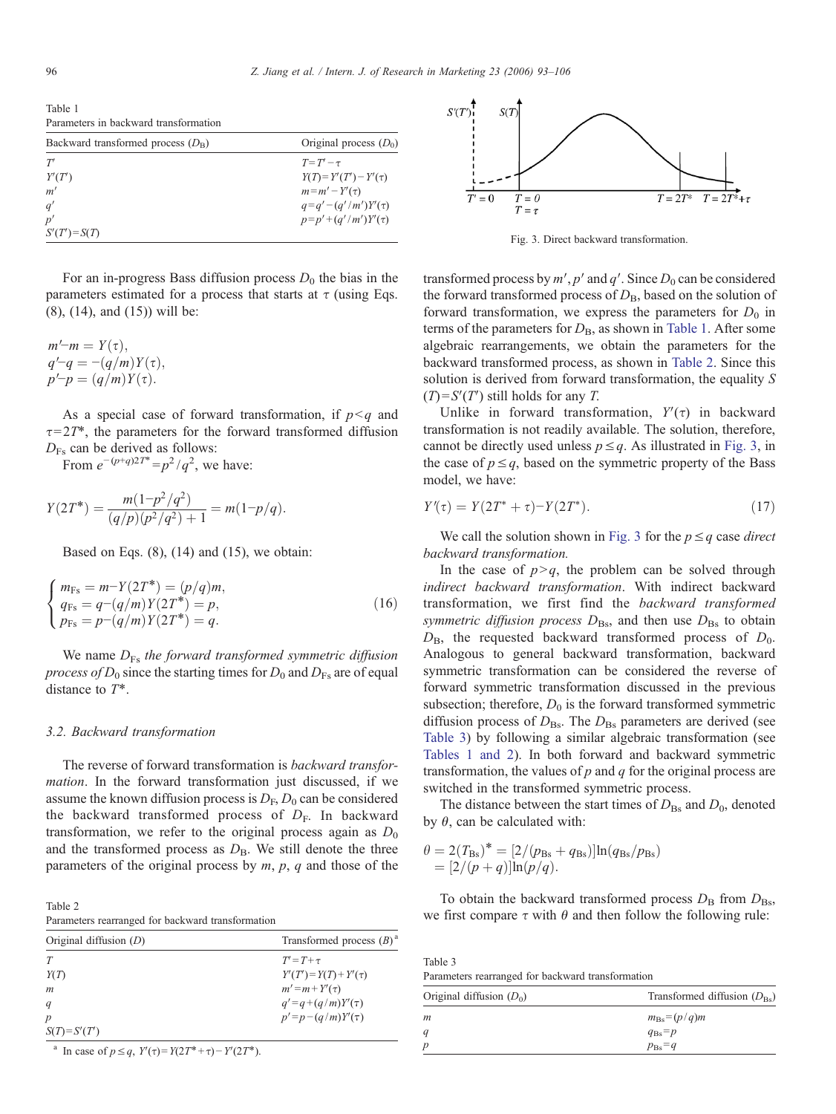<span id="page-3-0"></span>

| Table 1 |  |                                       |
|---------|--|---------------------------------------|
|         |  | Parameters in backward transformation |

| Backward transformed process $(D_B)$ | Original process $(D_0)$                      |
|--------------------------------------|-----------------------------------------------|
| Y'(T')                               | $T = T' - \tau$<br>$Y(T) = Y'(T') - Y'(\tau)$ |
| m'                                   | $m=m'-Y'(\tau)$<br>$q = q' - (q'/m')Y'(\tau)$ |
| p'<br>$S'(T') = S(T)$                | $p=p'$ + $(q'/m')Y'(\tau)$                    |

For an in-progress Bass diffusion process  $D_0$  the bias in the parameters estimated for a process that starts at  $\tau$  (using Eqs. (8), (14), and (15)) will be:

 $m'-m = Y(\tau)$ ,  $q'-q = -(q/m)Y(\tau),$  $p'-p = (q/m)Y(\tau).$ 

As a special case of forward transformation, if  $p \leq q$  and  $\tau = 2T^*$ , the parameters for the forward transformed diffusion  $D_{\text{Fs}}$  can be derived as follows:<br>From  $e^{-(p+q)2T^*} = p^2/q^2$ , we have:

$$
Y(2T^*) = \frac{m(1-p^2/q^2)}{(q/p)(p^2/q^2) + 1} = m(1-p/q).
$$

Based on Eqs.  $(8)$ ,  $(14)$  and  $(15)$ , we obtain:

$$
\begin{cases}\nm_{\text{Fs}} = m - Y(2T^*) = (p/q)m, \\
q_{\text{Fs}} = q - (q/m)Y(2T^*) = p, \\
p_{\text{Fs}} = p - (q/m)Y(2T^*) = q.\n\end{cases}
$$
\n(16)

We name  $D_{\text{Fs}}$  the forward transformed symmetric diffusion *process of*  $D_0$  since the starting times for  $D_0$  and  $D_{Fs}$  are of equal distance to  $T^*$ .

### 3.2. Backward transformation

The reverse of forward transformation is backward transformation. In the forward transformation just discussed, if we assume the known diffusion process is  $D_F$ ,  $D_0$  can be considered the backward transformed process of  $D_F$ . In backward transformation, we refer to the original process again as  $D_0$ and the transformed process as  $D<sub>B</sub>$ . We still denote the three parameters of the original process by  $m$ ,  $p$ ,  $q$  and those of the

Table 2 Parameters rearranged for backward transformation

| Original diffusion $(D)$                                                                    | Transformed process $(B)^a$ |
|---------------------------------------------------------------------------------------------|-----------------------------|
|                                                                                             | $T'=T+\tau$                 |
| Y(T)                                                                                        | $Y'(T') = Y(T) + Y'(\tau)$  |
| m                                                                                           | $m'=m+Y'(\tau)$             |
| q                                                                                           | $q' = q + (q/m)Y'(\tau)$    |
| $\boldsymbol{p}$                                                                            | $p' = p - (q/m)Y'(\tau)$    |
| $S(T) = S'(T')$                                                                             |                             |
| $a_{\text{L}}$ $\ldots$ , $c_{\text{L}}$ $\ldots$ $N/(1-\text{V}/2)T^*$ $\ldots$ $N/(2)T^*$ |                             |

 $T-27$  $T = \tau$ 

Fig. 3. Direct backward transformation.

transformed process by  $m'$ ,  $p'$  and  $q'$ . Since  $D_0$  can be considered the forward transformed process of  $D_{\rm B}$ , based on the solution of forward transformation, we express the parameters for  $D_0$  in terms of the parameters for  $D_B$ , as shown in Table 1. After some algebraic rearrangements, we obtain the parameters for the backward transformed process, as shown in Table 2. Since this solution is derived from forward transformation, the equality S  $(T)=S'(T')$  still holds for any T.

Unlike in forward transformation,  $Y'(\tau)$  in backward transformation is not readily available. The solution, therefore, cannot be directly used unless  $p \leq q$ . As illustrated in Fig. 3, in the case of  $p \leq q$ , based on the symmetric property of the Bass model, we have:

$$
Y'(\tau) = Y(2T^* + \tau) - Y(2T^*).
$$
\n(17)

We call the solution shown in Fig. 3 for the  $p \leq q$  case *direct* backward transformation.

In the case of  $p>q$ , the problem can be solved through indirect backward transformation. With indirect backward transformation, we first find the backward transformed symmetric diffusion process  $D_{\text{Bs}}$ , and then use  $D_{\text{Bs}}$  to obtain  $D_{\rm B}$ , the requested backward transformed process of  $D_0$ . Analogous to general backward transformation, backward symmetric transformation can be considered the reverse of forward symmetric transformation discussed in the previous subsection; therefore,  $D_0$  is the forward transformed symmetric diffusion process of  $D_{\text{Bs}}$ . The  $D_{\text{Bs}}$  parameters are derived (see Table 3) by following a similar algebraic transformation (see Tables 1 and 2). In both forward and backward symmetric transformation, the values of  $p$  and  $q$  for the original process are switched in the transformed symmetric process.

The distance between the start times of  $D_{\text{Bs}}$  and  $D_0$ , denoted by  $θ$ , can be calculated with:

$$
\theta = 2(T_{\text{Bs}})^* = [2/(p_{\text{Bs}} + q_{\text{Bs}})]\ln(q_{\text{Bs}}/p_{\text{Bs}})
$$
  
=  $[2/(p+q)]\ln(p/q)$ .

To obtain the backward transformed process  $D_{\rm B}$  from  $D_{\rm Bs}$ , we first compare  $\tau$  with  $\theta$  and then follow the following rule:

Table 3 Parameters rearranged for backward transformation

| Original diffusion $(D_0)$ | Transformed diffusion $(D_{\text{Bs}})$ |
|----------------------------|-----------------------------------------|
| m                          | $m_{\rm Bs} = (p/q)m$                   |
|                            | $q_{\rm Bs} = p$                        |
|                            | $p_{\rm Bs} = q$                        |

In case of  $p ≤ q$ ,  $Y'(τ) = Y(2T^*+τ) - Y'(2T^*)$ .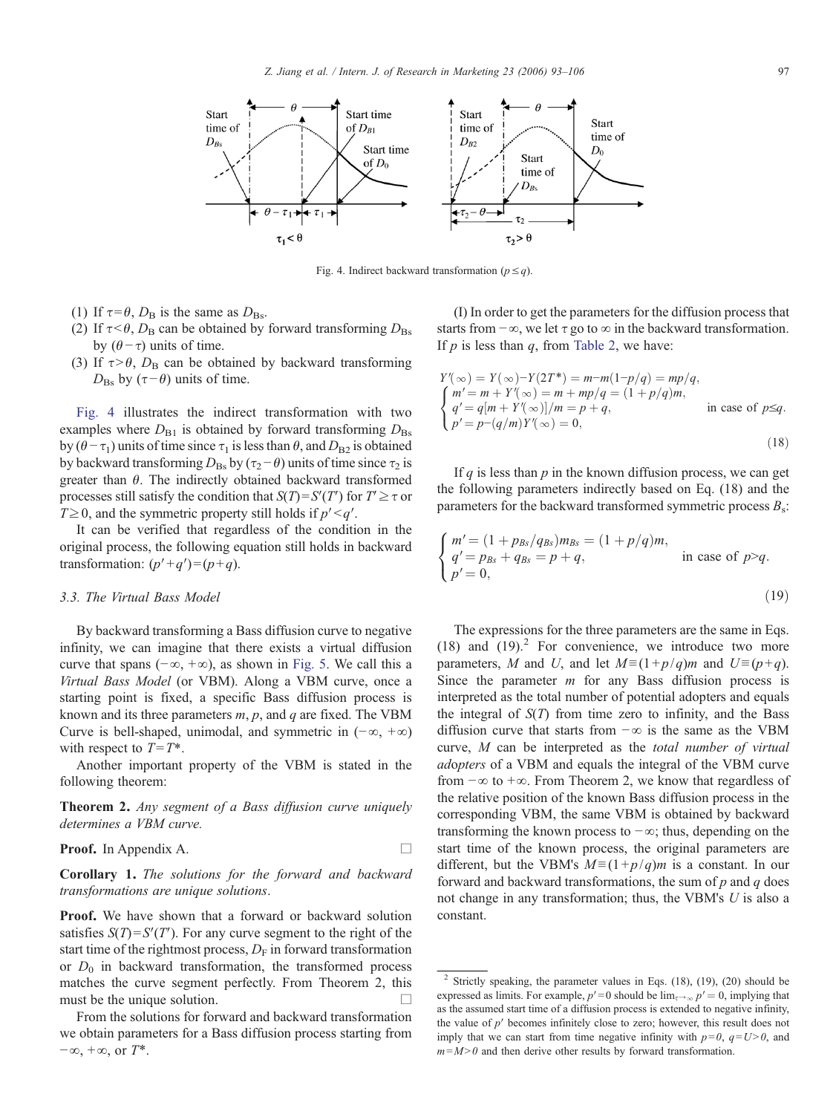

Fig. 4. Indirect backward transformation ( $p \leq q$ ).

- (1) If  $\tau = \theta$ ,  $D_B$  is the same as  $D_{Bs}$ .
- (2) If  $\tau < \theta$ ,  $D_B$  can be obtained by forward transforming  $D_{Bs}$ by  $(\theta - \tau)$  units of time.
- (3) If  $\tau > \theta$ ,  $D_B$  can be obtained by backward transforming  $D_{\text{Bs}}$  by ( $\tau$ − $\theta$ ) units of time.

Fig. 4 illustrates the indirect transformation with two examples where  $D_{B1}$  is obtained by forward transforming  $D_{Bs}$ by  $(\theta - \tau_1)$  units of time since  $\tau_1$  is less than  $\theta$ , and  $D_{B2}$  is obtained by backward transforming  $D_{\text{Bs}}$  by ( $\tau_2 - \theta$ ) units of time since  $\tau_2$  is greater than  $\theta$ . The indirectly obtained backward transformed processes still satisfy the condition that  $S(T) = S'(T')$  for  $T' \geq \tau$  or  $T\geq 0$ , and the symmetric property still holds if  $p' < q'$ .

It can be verified that regardless of the condition in the original process, the following equation still holds in backward transformation:  $(p'+q')=(p+q)$ .

### 3.3. The Virtual Bass Model

By backward transforming a Bass diffusion curve to negative infinity, we can imagine that there exists a virtual diffusion curve that spans ( $-\infty$ ,  $+\infty$ ), as shown in [Fig. 5](#page-5-0). We call this a Virtual Bass Model (or VBM). Along a VBM curve, once a starting point is fixed, a specific Bass diffusion process is known and its three parameters  $m$ ,  $p$ , and  $q$  are fixed. The VBM Curve is bell-shaped, unimodal, and symmetric in  $(-\infty, +\infty)$ with respect to  $T=T^*$ .

Another important property of the VBM is stated in the following theorem:

Theorem 2. Any segment of a Bass diffusion curve uniquely determines a VBM curve.

**Proof.** In Appendix A. 
$$
\Box
$$

Corollary 1. The solutions for the forward and backward transformations are unique solutions.

Proof. We have shown that a forward or backward solution satisfies  $S(T) = S'(T')$ . For any curve segment to the right of the start time of the rightmost process,  $D<sub>F</sub>$  in forward transformation or  $D_0$  in backward transformation, the transformed process matches the curve segment perfectly. From Theorem 2, this must be the unique solution.  $\Box$ 

From the solutions for forward and backward transformation we obtain parameters for a Bass diffusion process starting from  $-\infty$ ,  $+\infty$ , or  $T^*$ .

(I) In order to get the parameters for the diffusion process that starts from  $-\infty$ , we let  $\tau$  go to  $\infty$  in the backward transformation. If  $p$  is less than  $q$ , from [Table 2,](#page-3-0) we have:

$$
Y'(\infty) = Y(\infty) - Y(2T^*) = m - m(1 - p/q) = mp/q,
$$
  
\n
$$
\begin{cases}\nm' = m + Y'(\infty) = m + mp/q = (1 + p/q)m, \\
q' = q[m + Y'(\infty)]/m = p + q, \\
p' = p - (q/m)Y'(\infty) = 0,\n\end{cases}
$$
 in case of  $p \le q$ . (18)

If  $q$  is less than  $p$  in the known diffusion process, we can get the following parameters indirectly based on Eq. (18) and the parameters for the backward transformed symmetric process  $B_s$ .

$$
\begin{cases}\nm' = (1 + p_{Bs}/q_{Bs})m_{Bs} = (1 + p/q)m, \\
q' = p_{Bs} + q_{Bs} = p + q, \\
p' = 0,\n\end{cases}
$$
 in case of  $p > q$ . (19)

The expressions for the three parameters are the same in Eqs. (18) and  $(19)<sup>2</sup>$  For convenience, we introduce two more parameters, M and U, and let  $M \equiv (1 + p/q)m$  and  $U \equiv (p+q)$ . Since the parameter  $m$  for any Bass diffusion process is interpreted as the total number of potential adopters and equals the integral of  $S(T)$  from time zero to infinity, and the Bass diffusion curve that starts from  $-\infty$  is the same as the VBM curve, M can be interpreted as the total number of virtual adopters of a VBM and equals the integral of the VBM curve from −∞ to +∞. From Theorem 2, we know that regardless of the relative position of the known Bass diffusion process in the corresponding VBM, the same VBM is obtained by backward transforming the known process to  $-\infty$ ; thus, depending on the start time of the known process, the original parameters are different, but the VBM's  $M \equiv (1 + p/q)m$  is a constant. In our forward and backward transformations, the sum of  $p$  and  $q$  does not change in any transformation; thus, the VBM's U is also a constant.

<sup>&</sup>lt;sup>2</sup> Strictly speaking, the parameter values in Eqs.  $(18)$ ,  $(19)$ ,  $(20)$  should be expressed as limits. For example,  $p'=0$  should be  $\lim_{\tau\to\infty}p'=0$ , implying that as the assumed start time of a diffusion process is extended to negative infinity, the value of  $p'$  becomes infinitely close to zero; however, this result does not imply that we can start from time negative infinity with  $p=0$ ,  $q=U>0$ , and  $m=M>0$  and then derive other results by forward transformation.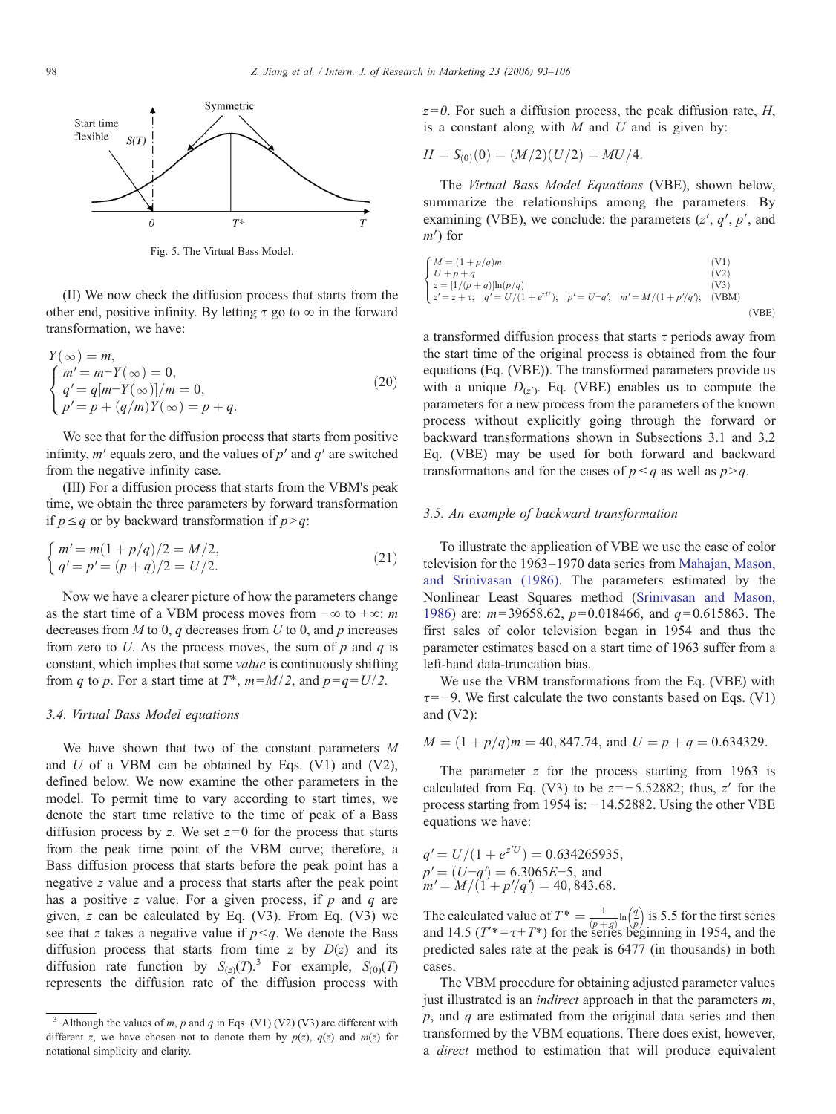<span id="page-5-0"></span>

Fig. 5. The Virtual Bass Model.

(II) We now check the diffusion process that starts from the other end, positive infinity. By letting  $\tau$  go to  $\infty$  in the forward transformation, we have:

$$
Y(\infty) = m,\n m' = m - Y(\infty) = 0,\n q' = q[m - Y(\infty)]/m = 0,\n p' = p + (q/m)Y(\infty) = p + q.
$$
\n(20)

We see that for the diffusion process that starts from positive infinity,  $m'$  equals zero, and the values of  $p'$  and  $q'$  are switched from the negative infinity case.

(III) For a diffusion process that starts from the VBM's peak time, we obtain the three parameters by forward transformation if  $p \leq q$  or by backward transformation if  $p > q$ :

$$
\begin{cases}\nm' = m(1 + p/q)/2 = M/2, \\
q' = p' = (p + q)/2 = U/2.\n\end{cases}
$$
\n(21)

Now we have a clearer picture of how the parameters change as the start time of a VBM process moves from  $-\infty$  to  $+\infty$ : m decreases from  $M$  to 0,  $q$  decreases from  $U$  to 0, and  $p$  increases from zero to U. As the process moves, the sum of  $p$  and  $q$  is constant, which implies that some value is continuously shifting from q to p. For a start time at  $T^*$ ,  $m=M/2$ , and  $p=q=U/2$ .

#### 3.4. Virtual Bass Model equations

We have shown that two of the constant parameters M and  $U$  of a VBM can be obtained by Eqs. (V1) and (V2), defined below. We now examine the other parameters in the model. To permit time to vary according to start times, we denote the start time relative to the time of peak of a Bass diffusion process by z. We set  $z=0$  for the process that starts from the peak time point of the VBM curve; therefore, a Bass diffusion process that starts before the peak point has a negative z value and a process that starts after the peak point has a positive z value. For a given process, if  $p$  and  $q$  are given,  $z$  can be calculated by Eq. (V3). From Eq. (V3) we see that z takes a negative value if  $p < q$ . We denote the Bass diffusion process that starts from time z by  $D(z)$  and its diffusion rate function by  $S_{(z)}(T)$ .<sup>3</sup> For example,  $S_{(0)}(T)$ represents the diffusion rate of the diffusion process with

 $z=0$ . For such a diffusion process, the peak diffusion rate, H, is a constant along with  $M$  and  $U$  and is given by:

$$
H = S_{(0)}(0) = (M/2)(U/2) = MU/4.
$$

The Virtual Bass Model Equations (VBE), shown below, summarize the relationships among the parameters. By examining (VBE), we conclude: the parameters  $(z', q', p',$  and m′) for

$$
\begin{cases} M = (1 + p/q)m & \text{(V1)}\\ U + p + q & \text{(V2)}\\ z = [1/(p+q)]\ln(p/q) & \text{(V3)}\\ z' = z + \tau; & q' = U/(1 + e^{zU}); \quad p' = U - q'; \quad m' = M/(1 + p'/q'); & \text{(VBM)}\\ \text{(VBE)} & & \text{(VBE)} \end{cases}
$$

a transformed diffusion process that starts  $\tau$  periods away from the start time of the original process is obtained from the four equations (Eq. (VBE)). The transformed parameters provide us with a unique  $D_{(z')}$ . Eq. (VBE) enables us to compute the parameters for a new process from the parameters of the known process without explicitly going through the forward or backward transformations shown in Subsections 3.1 and 3.2 Eq. (VBE) may be used for both forward and backward transformations and for the cases of  $p \leq q$  as well as  $p > q$ .

## 3.5. An example of backward transformation

To illustrate the application of VBE we use the case of color television for the 1963–1970 data series from [Mahajan, Mason,](#page-13-0) [and Srinivasan \(1986\)](#page-13-0). The parameters estimated by the Nonlinear Least Squares method ([Srinivasan and Mason,](#page-13-0) [1986\)](#page-13-0) are:  $m=39658.62$ ,  $p=0.018466$ , and  $q=0.615863$ . The first sales of color television began in 1954 and thus the parameter estimates based on a start time of 1963 suffer from a left-hand data-truncation bias.

We use the VBM transformations from the Eq. (VBE) with  $\tau$ =−9. We first calculate the two constants based on Eqs. (V1) and  $(V2)$ :

$$
M = (1 + p/q)m = 40,847.74, \text{ and } U = p + q = 0.634329.
$$

The parameter  $z$  for the process starting from 1963 is calculated from Eq. (V3) to be  $z=-5.52882$ ; thus, z' for the process starting from 1954 is: −14.52882. Using the other VBE equations we have:

$$
q' = U/(1 + e^{z'U}) = 0.634265935,
$$
  
\n
$$
p' = (U-q') = 6.3065E-5
$$
, and  
\n
$$
m' = M/(1 + p'/q') = 40,843.68.
$$

The calculated value of  $T^* = \frac{1}{(p+q)\ln(q)} \text{ is 5.5}$  for the first series and 14.5 ( $T^* = \tau + T^*$ ) for the series beginning in 1954, and the predicted sales rate at the peak is 6477 (in thousands) in both cases.

The VBM procedure for obtaining adjusted parameter values just illustrated is an *indirect* approach in that the parameters m,  $p$ , and  $q$  are estimated from the original data series and then transformed by the VBM equations. There does exist, however, a direct method to estimation that will produce equivalent

<sup>&</sup>lt;sup>3</sup> Although the values of *m*, *p* and *q* in Eqs. (V1) (V2) (V3) are different with different z, we have chosen not to denote them by  $p(z)$ ,  $q(z)$  and  $m(z)$  for notational simplicity and clarity.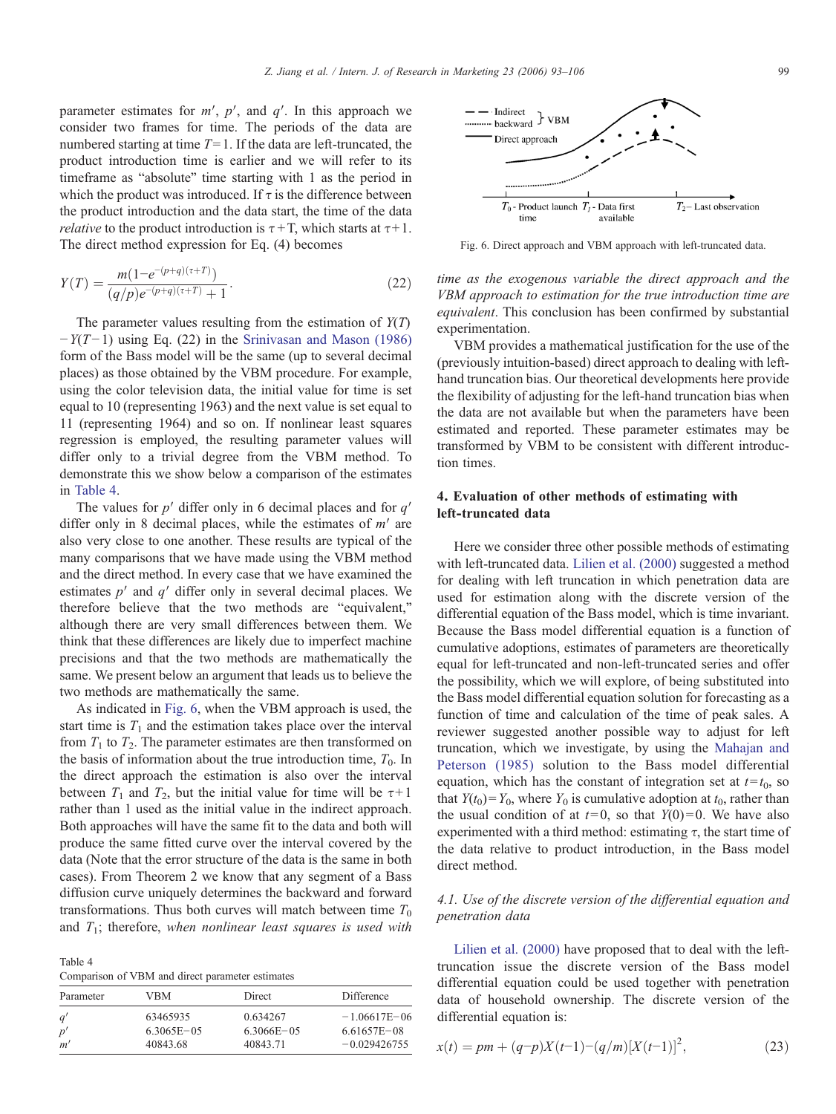parameter estimates for  $m'$ ,  $p'$ , and  $q'$ . In this approach we consider two frames for time. The periods of the data are numbered starting at time  $T=1$ . If the data are left-truncated, the product introduction time is earlier and we will refer to its timeframe as "absolute" time starting with 1 as the period in which the product was introduced. If  $\tau$  is the difference between the product introduction and the data start, the time of the data *relative* to the product introduction is  $\tau + T$ , which starts at  $\tau + 1$ . The direct method expression for Eq. (4) becomes

$$
Y(T) = \frac{m(1 - e^{-(p+q)(\tau + T)})}{(q/p)e^{-(p+q)(\tau + T)} + 1}.
$$
\n(22)

The parameter values resulting from the estimation of  $Y(T)$  $-Y(T-1)$  using Eq. (22) in the [Srinivasan and Mason \(1986\)](#page-13-0) form of the Bass model will be the same (up to several decimal places) as those obtained by the VBM procedure. For example, using the color television data, the initial value for time is set equal to 10 (representing 1963) and the next value is set equal to 11 (representing 1964) and so on. If nonlinear least squares regression is employed, the resulting parameter values will differ only to a trivial degree from the VBM method. To demonstrate this we show below a comparison of the estimates in Table 4.

The values for  $p'$  differ only in 6 decimal places and for  $q'$ differ only in 8 decimal places, while the estimates of  $m'$  are also very close to one another. These results are typical of the many comparisons that we have made using the VBM method and the direct method. In every case that we have examined the estimates  $p'$  and  $q'$  differ only in several decimal places. We therefore believe that the two methods are "equivalent," although there are very small differences between them. We think that these differences are likely due to imperfect machine precisions and that the two methods are mathematically the same. We present below an argument that leads us to believe the two methods are mathematically the same.

As indicated in Fig. 6, when the VBM approach is used, the start time is  $T_1$  and the estimation takes place over the interval from  $T_1$  to  $T_2$ . The parameter estimates are then transformed on the basis of information about the true introduction time,  $T_0$ . In the direct approach the estimation is also over the interval between  $T_1$  and  $T_2$ , but the initial value for time will be  $\tau+1$ rather than 1 used as the initial value in the indirect approach. Both approaches will have the same fit to the data and both will produce the same fitted curve over the interval covered by the data (Note that the error structure of the data is the same in both cases). From Theorem 2 we know that any segment of a Bass diffusion curve uniquely determines the backward and forward transformations. Thus both curves will match between time  $T_0$ and  $T_1$ ; therefore, when nonlinear least squares is used with

Table 4

| Comparison of VBM and direct parameter estimates |  |  |  |  |  |  |
|--------------------------------------------------|--|--|--|--|--|--|
|--------------------------------------------------|--|--|--|--|--|--|

| Parameter              | VBM                                    | Direct                                 | Difference                                            |
|------------------------|----------------------------------------|----------------------------------------|-------------------------------------------------------|
| $\boldsymbol{p}$<br>m' | 63465935<br>$6.3065E - 05$<br>40843.68 | 0.634267<br>$6.3066E - 05$<br>40843.71 | $-1.06617E - 06$<br>$6.61657E - 08$<br>$-0.029426755$ |



Fig. 6. Direct approach and VBM approach with left-truncated data.

time as the exogenous variable the direct approach and the VBM approach to estimation for the true introduction time are equivalent. This conclusion has been confirmed by substantial experimentation.

VBM provides a mathematical justification for the use of the (previously intuition-based) direct approach to dealing with lefthand truncation bias. Our theoretical developments here provide the flexibility of adjusting for the left-hand truncation bias when the data are not available but when the parameters have been estimated and reported. These parameter estimates may be transformed by VBM to be consistent with different introduction times.

# 4. Evaluation of other methods of estimating with left-truncated data

Here we consider three other possible methods of estimating with left-truncated data. [Lilien et al. \(2000\)](#page-13-0) suggested a method for dealing with left truncation in which penetration data are used for estimation along with the discrete version of the differential equation of the Bass model, which is time invariant. Because the Bass model differential equation is a function of cumulative adoptions, estimates of parameters are theoretically equal for left-truncated and non-left-truncated series and offer the possibility, which we will explore, of being substituted into the Bass model differential equation solution for forecasting as a function of time and calculation of the time of peak sales. A reviewer suggested another possible way to adjust for left truncation, which we investigate, by using the [Mahajan and](#page-13-0) [Peterson \(1985\)](#page-13-0) solution to the Bass model differential equation, which has the constant of integration set at  $t=t_0$ , so that  $Y(t_0) = Y_0$ , where  $Y_0$  is cumulative adoption at  $t_0$ , rather than the usual condition of at  $t=0$ , so that  $Y(0)=0$ . We have also experimented with a third method: estimating  $\tau$ , the start time of the data relative to product introduction, in the Bass model direct method.

# 4.1. Use of the discrete version of the differential equation and penetration data

[Lilien et al. \(2000\)](#page-13-0) have proposed that to deal with the lefttruncation issue the discrete version of the Bass model differential equation could be used together with penetration data of household ownership. The discrete version of the differential equation is:

$$
x(t) = pm + (q-p)X(t-1) - (q/m)[X(t-1)]^{2},
$$
\n(23)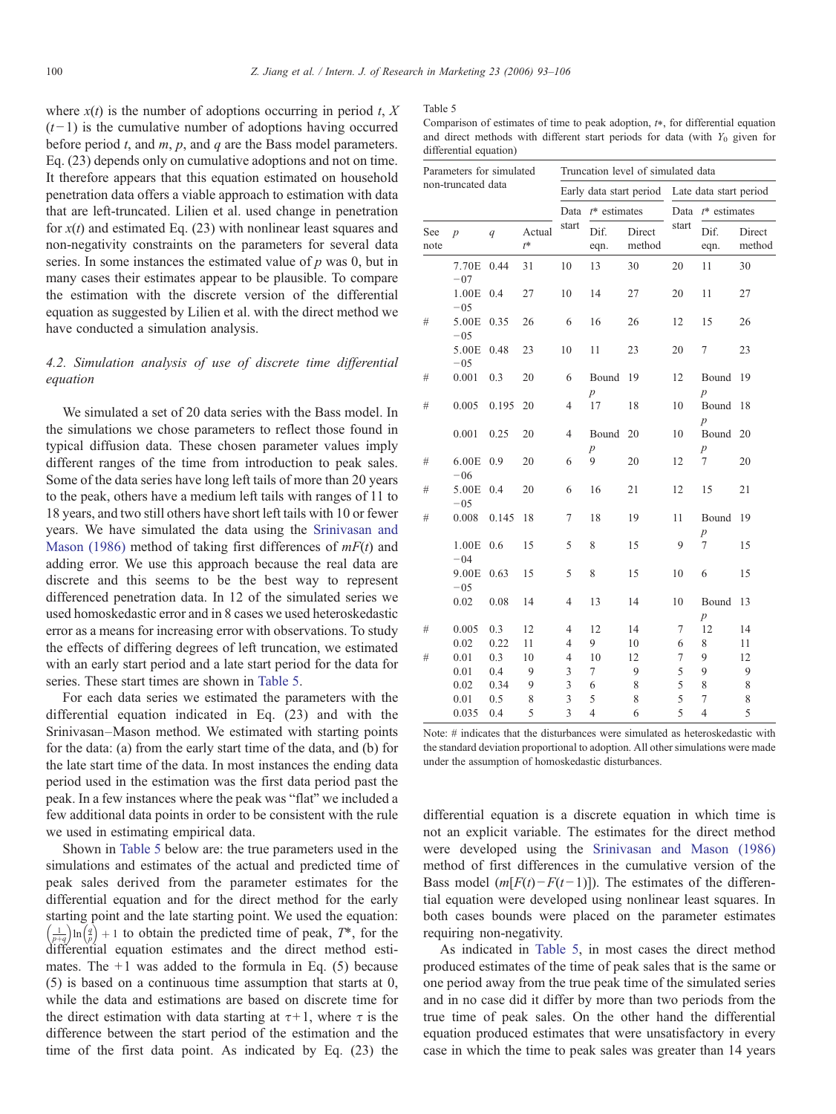where  $x(t)$  is the number of adoptions occurring in period t, X  $(t-1)$  is the cumulative number of adoptions having occurred before period t, and  $m$ ,  $p$ , and  $q$  are the Bass model parameters. Eq. (23) depends only on cumulative adoptions and not on time. It therefore appears that this equation estimated on household penetration data offers a viable approach to estimation with data that are left-truncated. Lilien et al. used change in penetration for  $x(t)$  and estimated Eq. (23) with nonlinear least squares and non-negativity constraints on the parameters for several data series. In some instances the estimated value of  $p$  was 0, but in many cases their estimates appear to be plausible. To compare the estimation with the discrete version of the differential equation as suggested by Lilien et al. with the direct method we have conducted a simulation analysis.

# 4.2. Simulation analysis of use of discrete time differential equation

We simulated a set of 20 data series with the Bass model. In the simulations we chose parameters to reflect those found in typical diffusion data. These chosen parameter values imply different ranges of the time from introduction to peak sales. Some of the data series have long left tails of more than 20 years to the peak, others have a medium left tails with ranges of 11 to 18 years, and two still others have short left tails with 10 or fewer years. We have simulated the data using the [Srinivasan and](#page-13-0) [Mason \(1986\)](#page-13-0) method of taking first differences of  $mF(t)$  and adding error. We use this approach because the real data are discrete and this seems to be the best way to represent differenced penetration data. In 12 of the simulated series we used homoskedastic error and in 8 cases we used heteroskedastic error as a means for increasing error with observations. To study the effects of differing degrees of left truncation, we estimated with an early start period and a late start period for the data for series. These start times are shown in Table 5.

For each data series we estimated the parameters with the differential equation indicated in Eq. (23) and with the Srinivasan–Mason method. We estimated with starting points for the data: (a) from the early start time of the data, and (b) for the late start time of the data. In most instances the ending data period used in the estimation was the first data period past the peak. In a few instances where the peak was "flat" we included a few additional data points in order to be consistent with the rule we used in estimating empirical data.

Shown in Table 5 below are: the true parameters used in the simulations and estimates of the actual and predicted time of peak sales derived from the parameter estimates for the differential equation and for the direct method for the early starting point and the late starting point. We used the equation:  $\left(\frac{1}{p+q}\right) \ln \left(\frac{q}{p}\right) + 1$  to obtain the predicted time of peak,  $T^*$ , for the differential equation estimates and the direct method estimates. The  $+1$  was added to the formula in Eq. (5) because (5) is based on a continuous time assumption that starts at 0, while the data and estimations are based on discrete time for the direct estimation with data starting at  $\tau$ +1, where  $\tau$  is the difference between the start period of the estimation and the time of the first data point. As indicated by Eq. (23) the

#### Table 5

Comparison of estimates of time to peak adoption,  $t^*$ , for differential equation and direct methods with different start periods for data (with  $Y_0$  given for differential equation)

|             | Parameters for simulated |       |                 |                         |                           | Truncation level of simulated data |       |                           |                  |
|-------------|--------------------------|-------|-----------------|-------------------------|---------------------------|------------------------------------|-------|---------------------------|------------------|
|             | non-truncated data       |       |                 |                         |                           | Early data start period            |       | Late data start period    |                  |
|             |                          |       |                 | Data<br>$t^*$ estimates |                           |                                    | Data  | $t^*$ estimates           |                  |
| See<br>note | p                        | q     | Actual<br>$t^*$ | start                   | Dif.<br>eqn.              | Direct<br>method                   | start | Dif.<br>eqn.              | Direct<br>method |
|             | 7.70E<br>$-07$           | 0.44  | 31              | 10                      | 13                        | 30                                 | 20    | 11                        | 30               |
|             | 1.00E<br>$-05$           | 0.4   | 27              | 10                      | 14                        | 27                                 | 20    | 11                        | 27               |
| #           | 5.00E<br>$-05$           | 0.35  | 26              | 6                       | 16                        | 26                                 | 12    | 15                        | 26               |
|             | 5.00E<br>$-05$           | 0.48  | 23              | 10                      | 11                        | 23                                 | 20    | 7                         | 23               |
| #           | 0.001                    | 0.3   | 20              | 6                       | Bound<br>$\boldsymbol{p}$ | 19                                 | 12    | Bound<br>$\boldsymbol{p}$ | 19               |
| #           | 0.005                    | 0.195 | 20              | $\overline{4}$          | 17                        | 18                                 | 10    | Bound<br>$\boldsymbol{p}$ | 18               |
|             | 0.001                    | 0.25  | 20              | 4                       | Bound<br>р                | 20                                 | 10    | Bound<br>$\boldsymbol{p}$ | 20               |
| #           | 6.00E<br>$-06$           | 0.9   | 20              | 6                       | 9                         | 20                                 | 12    | 7                         | 20               |
| #           | 5.00E<br>$-05$           | 0.4   | 20              | 6                       | 16                        | 21                                 | 12    | 15                        | 21               |
| #           | 0.008                    | 0.145 | 18              | 7                       | 18                        | 19                                 | 11    | Bound<br>р                | 19               |
|             | 1.00E<br>$-04$           | 0.6   | 15              | 5                       | 8                         | 15                                 | 9     | 7                         | 15               |
|             | 9.00E<br>$-05$           | 0.63  | 15              | 5                       | 8                         | 15                                 | 10    | 6                         | 15               |
|             | 0.02                     | 0.08  | 14              | $\overline{4}$          | 13                        | 14                                 | 10    | Bound<br>p                | 13               |
| #           | 0.005                    | 0.3   | 12              | 4                       | 12                        | 14                                 | 7     | 12                        | 14               |
|             | 0.02                     | 0.22  | 11              | 4                       | 9                         | 10                                 | 6     | 8                         | 11               |
| #           | 0.01                     | 0.3   | 10              | 4                       | 10                        | 12                                 | 7     | 9                         | 12               |
|             | 0.01                     | 0.4   | 9               | 3                       | 7                         | 9                                  | 5     | 9                         | 9                |
|             | 0.02                     | 0.34  | 9               | 3                       | 6                         | 8                                  | 5     | 8                         | 8                |
|             | 0.01                     | 0.5   | 8               | 3                       | 5                         | 8                                  | 5     | 7                         | 8                |
|             | 0.035                    | 0.4   | 5               | 3                       | $\overline{4}$            | 6                                  | 5     | $\overline{4}$            | 5                |

Note: # indicates that the disturbances were simulated as heteroskedastic with the standard deviation proportional to adoption. All other simulations were made under the assumption of homoskedastic disturbances.

differential equation is a discrete equation in which time is not an explicit variable. The estimates for the direct method were developed using the [Srinivasan and Mason \(1986\)](#page-13-0) method of first differences in the cumulative version of the Bass model  $(m[F(t)-F(t-1)])$ . The estimates of the differential equation were developed using nonlinear least squares. In both cases bounds were placed on the parameter estimates requiring non-negativity.

As indicated in Table 5, in most cases the direct method produced estimates of the time of peak sales that is the same or one period away from the true peak time of the simulated series and in no case did it differ by more than two periods from the true time of peak sales. On the other hand the differential equation produced estimates that were unsatisfactory in every case in which the time to peak sales was greater than 14 years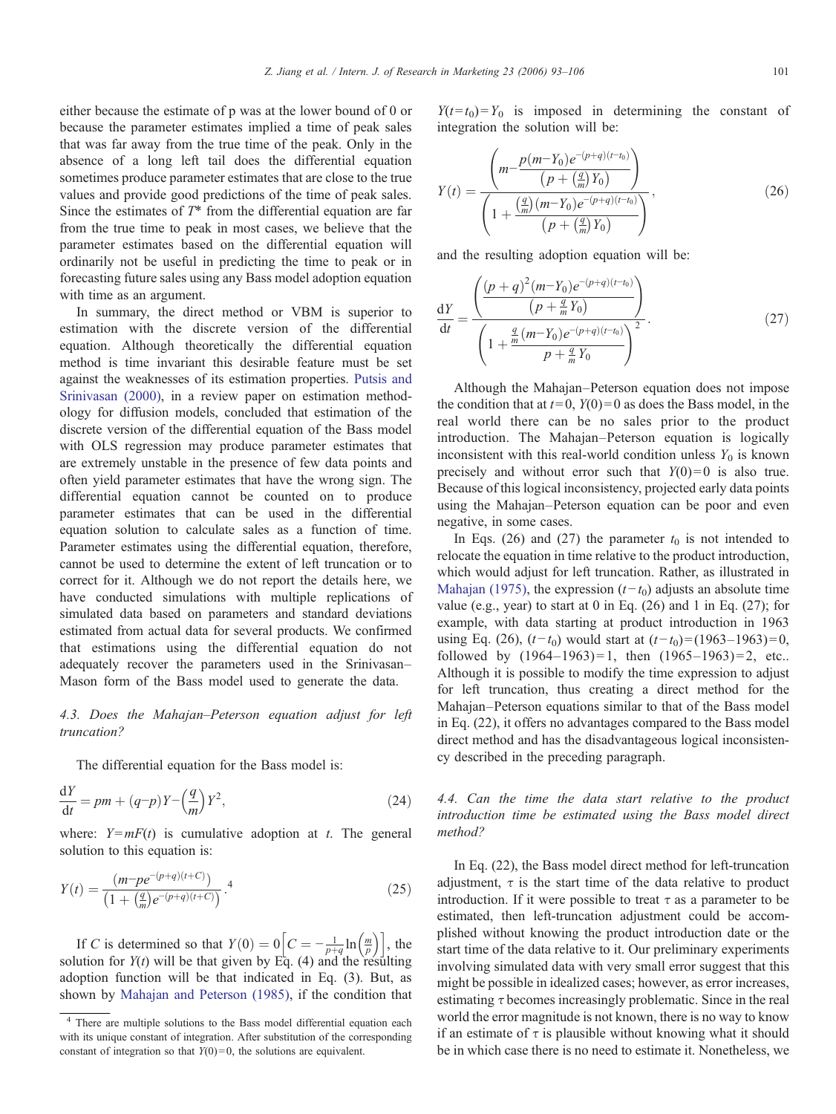either because the estimate of p was at the lower bound of 0 or because the parameter estimates implied a time of peak sales that was far away from the true time of the peak. Only in the absence of a long left tail does the differential equation sometimes produce parameter estimates that are close to the true values and provide good predictions of the time of peak sales. Since the estimates of  $T^*$  from the differential equation are far from the true time to peak in most cases, we believe that the parameter estimates based on the differential equation will ordinarily not be useful in predicting the time to peak or in forecasting future sales using any Bass model adoption equation with time as an argument.

In summary, the direct method or VBM is superior to estimation with the discrete version of the differential equation. Although theoretically the differential equation method is time invariant this desirable feature must be set against the weaknesses of its estimation properties. [Putsis and](#page-13-0) [Srinivasan \(2000\),](#page-13-0) in a review paper on estimation methodology for diffusion models, concluded that estimation of the discrete version of the differential equation of the Bass model with OLS regression may produce parameter estimates that are extremely unstable in the presence of few data points and often yield parameter estimates that have the wrong sign. The differential equation cannot be counted on to produce parameter estimates that can be used in the differential equation solution to calculate sales as a function of time. Parameter estimates using the differential equation, therefore, cannot be used to determine the extent of left truncation or to correct for it. Although we do not report the details here, we have conducted simulations with multiple replications of simulated data based on parameters and standard deviations estimated from actual data for several products. We confirmed that estimations using the differential equation do not adequately recover the parameters used in the Srinivasan– Mason form of the Bass model used to generate the data.

# 4.3. Does the Mahajan–Peterson equation adjust for left truncation?

The differential equation for the Bass model is:

$$
\frac{\mathrm{d}Y}{\mathrm{d}t} = pm + (q-p)Y - \left(\frac{q}{m}\right)Y^2,\tag{24}
$$

where:  $Y= mF(t)$  is cumulative adoption at t. The general solution to this equation is:

$$
Y(t) = \frac{(m - pe^{-(p+q)(t+C)})}{\left(1 + \left(\frac{q}{m}\right)e^{-(p+q)(t+C)}\right)}.
$$
<sup>(25)</sup>

If C is determined so that  $Y(0) = 0 \left[ C = -\frac{1}{p+q} \ln \left( \frac{m}{p} \right) \right]$ , the solution for  $Y(t)$  will be that given by Eq. (4) and the resulting adoption function will be that indicated in Eq. (3). But, as shown by [Mahajan and Peterson \(1985\)](#page-13-0), if the condition that  $Y(t=t_0) = Y_0$  is imposed in determining the constant of integration the solution will be:

$$
Y(t) = \frac{\left(m - \frac{p(m - Y_0)e^{-(p+q)(t-t_0)}}{(p + \frac{q}{m})Y_0}\right)}{\left(1 + \frac{\left(\frac{q}{m}\right)(m - Y_0)e^{-(p+q)(t-t_0)}}{(p + \frac{q}{m})Y_0}\right)},\tag{26}
$$

and the resulting adoption equation will be:

$$
\frac{dY}{dt} = \frac{\left(\frac{(p+q)^2(m-Y_0)e^{-(p+q)(t-t_0)}}{(p+\frac{q}{m}Y_0)}\right)}{\left(1+\frac{\frac{q}{m}(m-Y_0)e^{-(p+q)(t-t_0)}}{p+\frac{q}{m}Y_0}\right)^2}.
$$
\n(27)

Although the Mahajan–Peterson equation does not impose the condition that at  $t=0$ ,  $Y(0)=0$  as does the Bass model, in the real world there can be no sales prior to the product introduction. The Mahajan–Peterson equation is logically inconsistent with this real-world condition unless  $Y_0$  is known precisely and without error such that  $Y(0)=0$  is also true. Because of this logical inconsistency, projected early data points using the Mahajan–Peterson equation can be poor and even negative, in some cases.

In Eqs. (26) and (27) the parameter  $t_0$  is not intended to relocate the equation in time relative to the product introduction, which would adjust for left truncation. Rather, as illustrated in [Mahajan \(1975\)](#page-13-0), the expression  $(t-t_0)$  adjusts an absolute time value (e.g., year) to start at  $0$  in Eq. (26) and  $1$  in Eq. (27); for example, with data starting at product introduction in 1963 using Eq. (26),  $(t-t_0)$  would start at  $(t-t_0) = (1963-1963) = 0$ , followed by  $(1964-1963)=1$ , then  $(1965-1963)=2$ , etc.. Although it is possible to modify the time expression to adjust for left truncation, thus creating a direct method for the Mahajan–Peterson equations similar to that of the Bass model in Eq. (22), it offers no advantages compared to the Bass model direct method and has the disadvantageous logical inconsistency described in the preceding paragraph.

# 4.4. Can the time the data start relative to the product introduction time be estimated using the Bass model direct method?

In Eq. (22), the Bass model direct method for left-truncation adjustment,  $\tau$  is the start time of the data relative to product introduction. If it were possible to treat  $\tau$  as a parameter to be estimated, then left-truncation adjustment could be accomplished without knowing the product introduction date or the start time of the data relative to it. Our preliminary experiments involving simulated data with very small error suggest that this might be possible in idealized cases; however, as error increases, estimating  $\tau$  becomes increasingly problematic. Since in the real world the error magnitude is not known, there is no way to know if an estimate of  $\tau$  is plausible without knowing what it should be in which case there is no need to estimate it. Nonetheless, we

<sup>4</sup> There are multiple solutions to the Bass model differential equation each with its unique constant of integration. After substitution of the corresponding constant of integration so that  $Y(0)=0$ , the solutions are equivalent.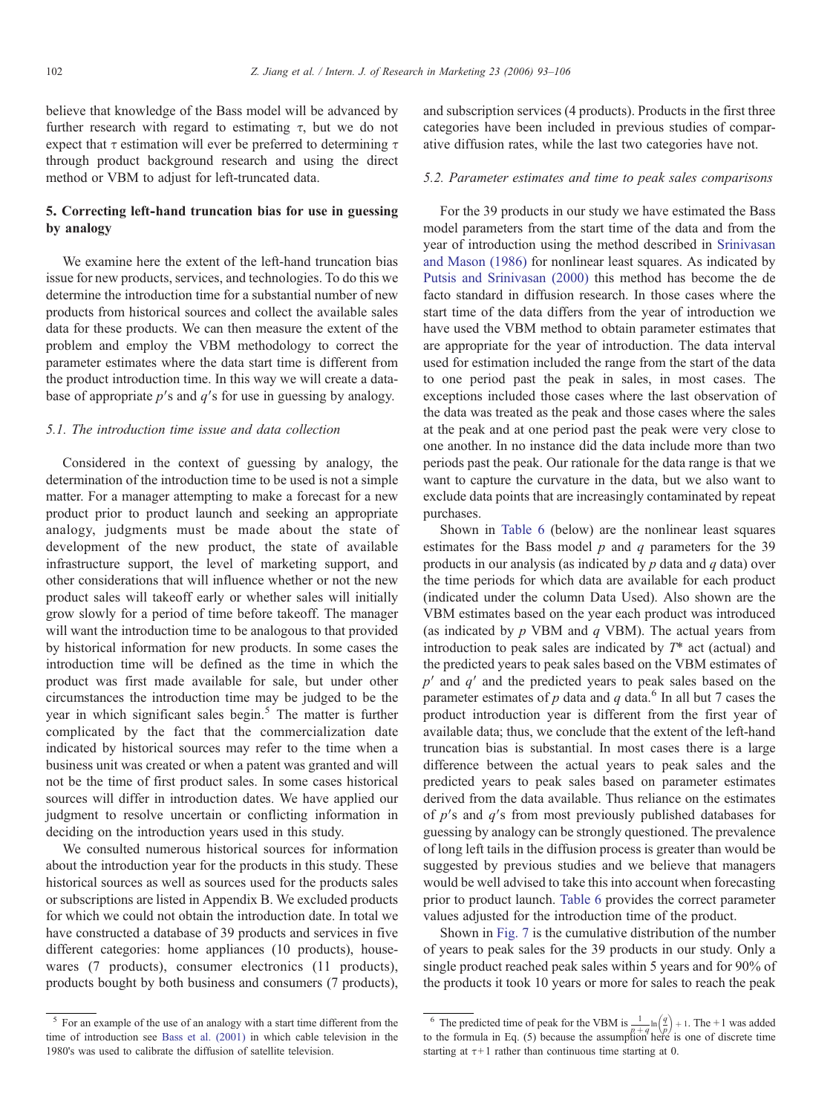believe that knowledge of the Bass model will be advanced by further research with regard to estimating  $\tau$ , but we do not expect that  $\tau$  estimation will ever be preferred to determining  $\tau$ through product background research and using the direct method or VBM to adjust for left-truncated data.

# 5. Correcting left-hand truncation bias for use in guessing by analogy

We examine here the extent of the left-hand truncation bias issue for new products, services, and technologies. To do this we determine the introduction time for a substantial number of new products from historical sources and collect the available sales data for these products. We can then measure the extent of the problem and employ the VBM methodology to correct the parameter estimates where the data start time is different from the product introduction time. In this way we will create a database of appropriate  $p'$ s and  $q'$ s for use in guessing by analogy.

### 5.1. The introduction time issue and data collection

Considered in the context of guessing by analogy, the determination of the introduction time to be used is not a simple matter. For a manager attempting to make a forecast for a new product prior to product launch and seeking an appropriate analogy, judgments must be made about the state of development of the new product, the state of available infrastructure support, the level of marketing support, and other considerations that will influence whether or not the new product sales will takeoff early or whether sales will initially grow slowly for a period of time before takeoff. The manager will want the introduction time to be analogous to that provided by historical information for new products. In some cases the introduction time will be defined as the time in which the product was first made available for sale, but under other circumstances the introduction time may be judged to be the year in which significant sales begin. $5$  The matter is further complicated by the fact that the commercialization date indicated by historical sources may refer to the time when a business unit was created or when a patent was granted and will not be the time of first product sales. In some cases historical sources will differ in introduction dates. We have applied our judgment to resolve uncertain or conflicting information in deciding on the introduction years used in this study.

We consulted numerous historical sources for information about the introduction year for the products in this study. These historical sources as well as sources used for the products sales or subscriptions are listed in Appendix B. We excluded products for which we could not obtain the introduction date. In total we have constructed a database of 39 products and services in five different categories: home appliances (10 products), housewares (7 products), consumer electronics (11 products), products bought by both business and consumers (7 products), and subscription services (4 products). Products in the first three categories have been included in previous studies of comparative diffusion rates, while the last two categories have not.

### 5.2. Parameter estimates and time to peak sales comparisons

For the 39 products in our study we have estimated the Bass model parameters from the start time of the data and from the year of introduction using the method described in [Srinivasan](#page-13-0) [and Mason \(1986\)](#page-13-0) for nonlinear least squares. As indicated by [Putsis and Srinivasan \(2000\)](#page-13-0) this method has become the de facto standard in diffusion research. In those cases where the start time of the data differs from the year of introduction we have used the VBM method to obtain parameter estimates that are appropriate for the year of introduction. The data interval used for estimation included the range from the start of the data to one period past the peak in sales, in most cases. The exceptions included those cases where the last observation of the data was treated as the peak and those cases where the sales at the peak and at one period past the peak were very close to one another. In no instance did the data include more than two periods past the peak. Our rationale for the data range is that we want to capture the curvature in the data, but we also want to exclude data points that are increasingly contaminated by repeat purchases.

Shown in [Table 6](#page-10-0) (below) are the nonlinear least squares estimates for the Bass model  $p$  and  $q$  parameters for the 39 products in our analysis (as indicated by  $p$  data and  $q$  data) over the time periods for which data are available for each product (indicated under the column Data Used). Also shown are the VBM estimates based on the year each product was introduced (as indicated by  $p$  VBM and  $q$  VBM). The actual years from introduction to peak sales are indicated by  $T^*$  act (actual) and the predicted years to peak sales based on the VBM estimates of  $p'$  and  $q'$  and the predicted years to peak sales based on the parameter estimates of  $p$  data and  $q$  data.<sup>6</sup> In all but 7 cases the product introduction year is different from the first year of available data; thus, we conclude that the extent of the left-hand truncation bias is substantial. In most cases there is a large difference between the actual years to peak sales and the predicted years to peak sales based on parameter estimates derived from the data available. Thus reliance on the estimates of  $p$ 's and  $q$ 's from most previously published databases for guessing by analogy can be strongly questioned. The prevalence of long left tails in the diffusion process is greater than would be suggested by previous studies and we believe that managers would be well advised to take this into account when forecasting prior to product launch. [Table 6](#page-10-0) provides the correct parameter values adjusted for the introduction time of the product.

Shown in [Fig. 7](#page-11-0) is the cumulative distribution of the number of years to peak sales for the 39 products in our study. Only a single product reached peak sales within 5 years and for 90% of the products it took 10 years or more for sales to reach the peak

<sup>5</sup> For an example of the use of an analogy with a start time different from the time of introduction see [Bass et al. \(2001\)](#page-13-0) in which cable television in the 1980's was used to calibrate the diffusion of satellite television.

<sup>&</sup>lt;sup>6</sup> The predicted time of peak for the VBM is  $\frac{1}{p_1 + q} \ln \left(\frac{q}{p}\right) + 1$ . The +1 was added to the formula in Eq. (5) because the assumption here is one of discrete time starting at  $\tau$ +1 rather than continuous time starting at 0.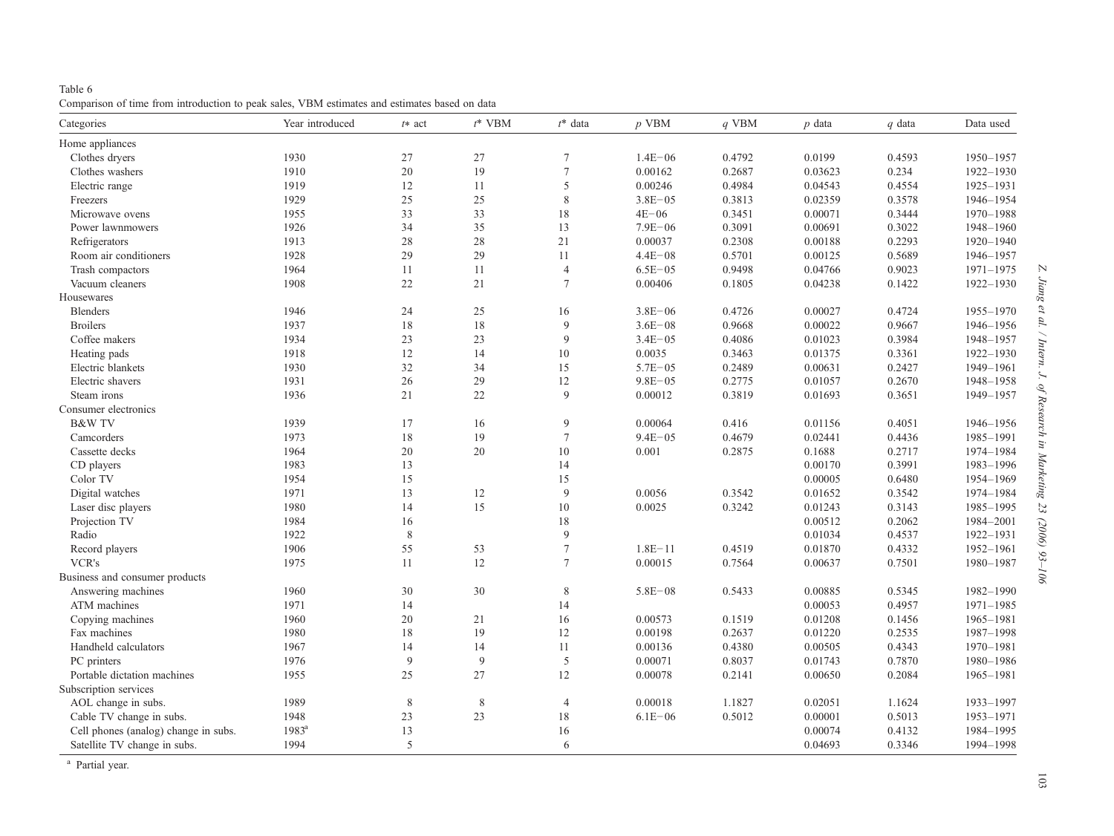#### <span id="page-10-0"></span>Table 6 Comparison of time from introduction to peak sales, VBM estimates and estimates based on data

| Categories                           | Year introduced   | $t^*$ act   | $t^*$ VBM | $t^*$ data       | $p$ VBM     | $q$ VBM | $p$ data | $q$ data | Data used     |
|--------------------------------------|-------------------|-------------|-----------|------------------|-------------|---------|----------|----------|---------------|
| Home appliances                      |                   |             |           |                  |             |         |          |          |               |
| Clothes dryers                       | 1930              | $27\,$      | 27        | $\tau$           | $1.4E - 06$ | 0.4792  | 0.0199   | 0.4593   | 1950-1957     |
| Clothes washers                      | 1910              | 20          | 19        | $\tau$           | 0.00162     | 0.2687  | 0.03623  | 0.234    | 1922-1930     |
| Electric range                       | 1919              | 12          | 11        | 5                | 0.00246     | 0.4984  | 0.04543  | 0.4554   | 1925-1931     |
| Freezers                             | 1929              | 25          | 25        | 8                | $3.8E - 05$ | 0.3813  | 0.02359  | 0.3578   | 1946-1954     |
| Microwave ovens                      | 1955              | 33          | 33        | 18               | $4E - 06$   | 0.3451  | 0.00071  | 0.3444   | 1970-1988     |
| Power lawnmowers                     | 1926              | 34          | 35        | 13               | $7.9E - 06$ | 0.3091  | 0.00691  | 0.3022   | 1948-1960     |
| Refrigerators                        | 1913              | 28          | 28        | 21               | 0.00037     | 0.2308  | 0.00188  | 0.2293   | 1920-1940     |
| Room air conditioners                | 1928              | 29          | 29        | 11               | $4.4E - 08$ | 0.5701  | 0.00125  | 0.5689   | 1946-1957     |
| Trash compactors                     | 1964              | 11          | 11        | $\overline{4}$   | $6.5E - 05$ | 0.9498  | 0.04766  | 0.9023   | $1971 - 1975$ |
| Vacuum cleaners                      | 1908              | 22          | 21        | $\tau$           | 0.00406     | 0.1805  | 0.04238  | 0.1422   | 1922-1930     |
| Housewares                           |                   |             |           |                  |             |         |          |          |               |
| <b>Blenders</b>                      | 1946              | 24          | 25        | 16               | $3.8E - 06$ | 0.4726  | 0.00027  | 0.4724   | 1955-1970     |
| <b>Broilers</b>                      | 1937              | 18          | 18        | 9                | $3.6E - 08$ | 0.9668  | 0.00022  | 0.9667   | 1946-1956     |
| Coffee makers                        | 1934              | 23          | 23        | 9                | $3.4E - 05$ | 0.4086  | 0.01023  | 0.3984   | 1948-1957     |
| Heating pads                         | 1918              | 12          | 14        | $10\,$           | 0.0035      | 0.3463  | 0.01375  | 0.3361   | 1922-1930     |
| Electric blankets                    | 1930              | 32          | 34        | 15               | $5.7E - 05$ | 0.2489  | 0.00631  | 0.2427   | 1949-1961     |
| Electric shavers                     | 1931              | 26          | 29        | 12               | $9.8E - 05$ | 0.2775  | 0.01057  | 0.2670   | 1948-1958     |
| Steam irons                          | 1936              | 21          | 22        | 9                | 0.00012     | 0.3819  | 0.01693  | 0.3651   | 1949-1957     |
| Consumer electronics                 |                   |             |           |                  |             |         |          |          |               |
| <b>B&amp;W TV</b>                    | 1939              | 17          | 16        | 9                | 0.00064     | 0.416   | 0.01156  | 0.4051   | 1946-1956     |
| Camcorders                           | 1973              | 18          | 19        | $\tau$           | $9.4E - 05$ | 0.4679  | 0.02441  | 0.4436   | 1985-1991     |
| Cassette decks                       | 1964              | 20          | 20        | 10               | 0.001       | 0.2875  | 0.1688   | 0.2717   | 1974-1984     |
| CD players                           | 1983              | 13          |           | 14               |             |         | 0.00170  | 0.3991   | 1983-1996     |
| Color TV                             | 1954              | 15          |           | 15               |             |         | 0.00005  | 0.6480   | 1954-1969     |
| Digital watches                      | 1971              | 13          | 12        | 9                | 0.0056      | 0.3542  | 0.01652  | 0.3542   | 1974-1984     |
| Laser disc players                   | 1980              | 14          | 15        | 10               | 0.0025      | 0.3242  | 0.01243  | 0.3143   | 1985-1995     |
| Projection TV                        | 1984              | 16          |           | $18\,$           |             |         | 0.00512  | 0.2062   | 1984-2001     |
| Radio                                | 1922              | $\,$ 8 $\,$ |           | 9                |             |         | 0.01034  | 0.4537   | 1922-1931     |
| Record players                       | 1906              | 55          | 53        | $\boldsymbol{7}$ | $1.8E - 11$ | 0.4519  | 0.01870  | 0.4332   | 1952-1961     |
| VCR's                                | 1975              | 11          | 12        | $\tau$           | 0.00015     | 0.7564  | 0.00637  | 0.7501   | 1980-1987     |
| Business and consumer products       |                   |             |           |                  |             |         |          |          |               |
| Answering machines                   | 1960              | 30          | 30        | 8                | $5.8E - 08$ | 0.5433  | 0.00885  | 0.5345   | 1982-1990     |
| ATM machines                         | 1971              | 14          |           | 14               |             |         | 0.00053  | 0.4957   | $1971 - 1985$ |
| Copying machines                     | 1960              | 20          | 21        | 16               | 0.00573     | 0.1519  | 0.01208  | 0.1456   | 1965-1981     |
| Fax machines                         | 1980              | 18          | 19        | 12               | 0.00198     | 0.2637  | 0.01220  | 0.2535   | 1987-1998     |
| Handheld calculators                 | 1967              | 14          | 14        | 11               | 0.00136     | 0.4380  | 0.00505  | 0.4343   | 1970-1981     |
| PC printers                          | 1976              | 9           | 9         | 5                | 0.00071     | 0.8037  | 0.01743  | 0.7870   | 1980-1986     |
| Portable dictation machines          | 1955              | 25          | 27        | 12               | 0.00078     | 0.2141  | 0.00650  | 0.2084   | 1965-1981     |
| Subscription services                |                   |             |           |                  |             |         |          |          |               |
| AOL change in subs.                  | 1989              | 8           | 8         | $\overline{4}$   | 0.00018     | 1.1827  | 0.02051  | 1.1624   | 1933-1997     |
| Cable TV change in subs.             | 1948              | 23          | 23        | 18               | $6.1E - 06$ | 0.5012  | 0.00001  | 0.5013   | 1953-1971     |
| Cell phones (analog) change in subs. | 1983 <sup>a</sup> | 13          |           | $16\,$           |             |         | 0.00074  | 0.4132   | 1984-1995     |
| Satellite TV change in subs.         | 1994              | 5           |           | 6                |             |         | 0.04693  | 0.3346   | 1994-1998     |

<sup>a</sup> Partial year.

Z. Jiang et al. / Intern. J. of Research in Marketing 23 (2006) 93–106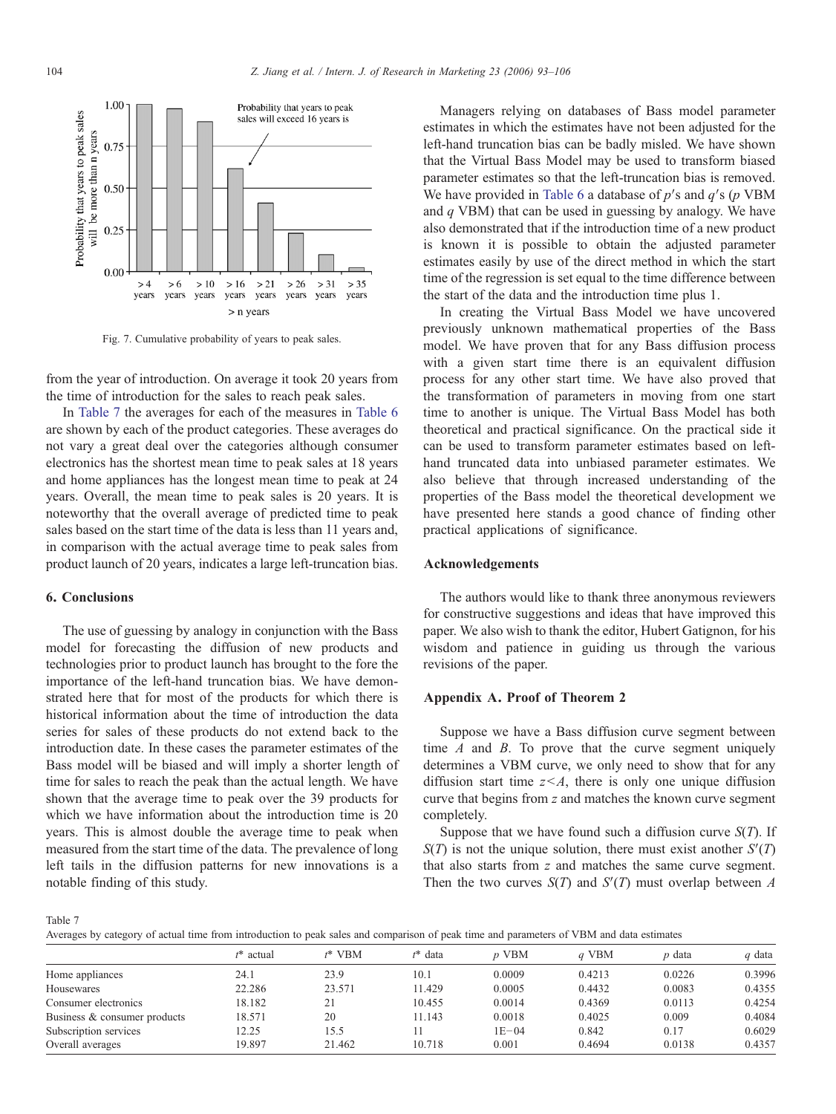<span id="page-11-0"></span>

Fig. 7. Cumulative probability of years to peak sales.

from the year of introduction. On average it took 20 years from the time of introduction for the sales to reach peak sales.

In Table 7 the averages for each of the measures in [Table 6](#page-10-0) are shown by each of the product categories. These averages do not vary a great deal over the categories although consumer electronics has the shortest mean time to peak sales at 18 years and home appliances has the longest mean time to peak at 24 years. Overall, the mean time to peak sales is 20 years. It is noteworthy that the overall average of predicted time to peak sales based on the start time of the data is less than 11 years and, in comparison with the actual average time to peak sales from product launch of 20 years, indicates a large left-truncation bias.

#### 6. Conclusions

The use of guessing by analogy in conjunction with the Bass model for forecasting the diffusion of new products and technologies prior to product launch has brought to the fore the importance of the left-hand truncation bias. We have demonstrated here that for most of the products for which there is historical information about the time of introduction the data series for sales of these products do not extend back to the introduction date. In these cases the parameter estimates of the Bass model will be biased and will imply a shorter length of time for sales to reach the peak than the actual length. We have shown that the average time to peak over the 39 products for which we have information about the introduction time is 20 years. This is almost double the average time to peak when measured from the start time of the data. The prevalence of long left tails in the diffusion patterns for new innovations is a notable finding of this study.

Managers relying on databases of Bass model parameter estimates in which the estimates have not been adjusted for the left-hand truncation bias can be badly misled. We have shown that the Virtual Bass Model may be used to transform biased parameter estimates so that the left-truncation bias is removed. We have provided in [Table 6](#page-10-0) a database of  $p'$ s and  $q'$ s (p VBM and  $q$  VBM) that can be used in guessing by analogy. We have also demonstrated that if the introduction time of a new product is known it is possible to obtain the adjusted parameter estimates easily by use of the direct method in which the start time of the regression is set equal to the time difference between the start of the data and the introduction time plus 1.

In creating the Virtual Bass Model we have uncovered previously unknown mathematical properties of the Bass model. We have proven that for any Bass diffusion process with a given start time there is an equivalent diffusion process for any other start time. We have also proved that the transformation of parameters in moving from one start time to another is unique. The Virtual Bass Model has both theoretical and practical significance. On the practical side it can be used to transform parameter estimates based on lefthand truncated data into unbiased parameter estimates. We also believe that through increased understanding of the properties of the Bass model the theoretical development we have presented here stands a good chance of finding other practical applications of significance.

#### Acknowledgements

The authors would like to thank three anonymous reviewers for constructive suggestions and ideas that have improved this paper. We also wish to thank the editor, Hubert Gatignon, for his wisdom and patience in guiding us through the various revisions of the paper.

### Appendix A. Proof of Theorem 2

Suppose we have a Bass diffusion curve segment between time  $A$  and  $B$ . To prove that the curve segment uniquely determines a VBM curve, we only need to show that for any diffusion start time  $z < A$ , there is only one unique diffusion curve that begins from z and matches the known curve segment completely.

Suppose that we have found such a diffusion curve  $S(T)$ . If  $S(T)$  is not the unique solution, there must exist another  $S'(T)$ that also starts from z and matches the same curve segment. Then the two curves  $S(T)$  and  $S'(T)$  must overlap between A

Table 7

Averages by category of actual time from introduction to peak sales and comparison of peak time and parameters of VBM and data estimates

|                              | $t^*$ actual | $t^*$ VBM | $t^*$ data | $p$ VBM | a VBM  | p data | q data |
|------------------------------|--------------|-----------|------------|---------|--------|--------|--------|
| Home appliances              | 24.1         | 23.9      | 10.1       | 0.0009  | 0.4213 | 0.0226 | 0.3996 |
| Housewares                   | 22.286       | 23.571    | 11.429     | 0.0005  | 0.4432 | 0.0083 | 0.4355 |
| Consumer electronics         | 18.182       | 21        | 10.455     | 0.0014  | 0.4369 | 0.0113 | 0.4254 |
| Business & consumer products | 18.571       | 20        | 11.143     | 0.0018  | 0.4025 | 0.009  | 0.4084 |
| Subscription services        | 12.25        | 15.5      | 11         | $1E-04$ | 0.842  | 0.17   | 0.6029 |
| Overall averages             | 19.897       | 21.462    | 10.718     | 0.001   | 0.4694 | 0.0138 | 0.4357 |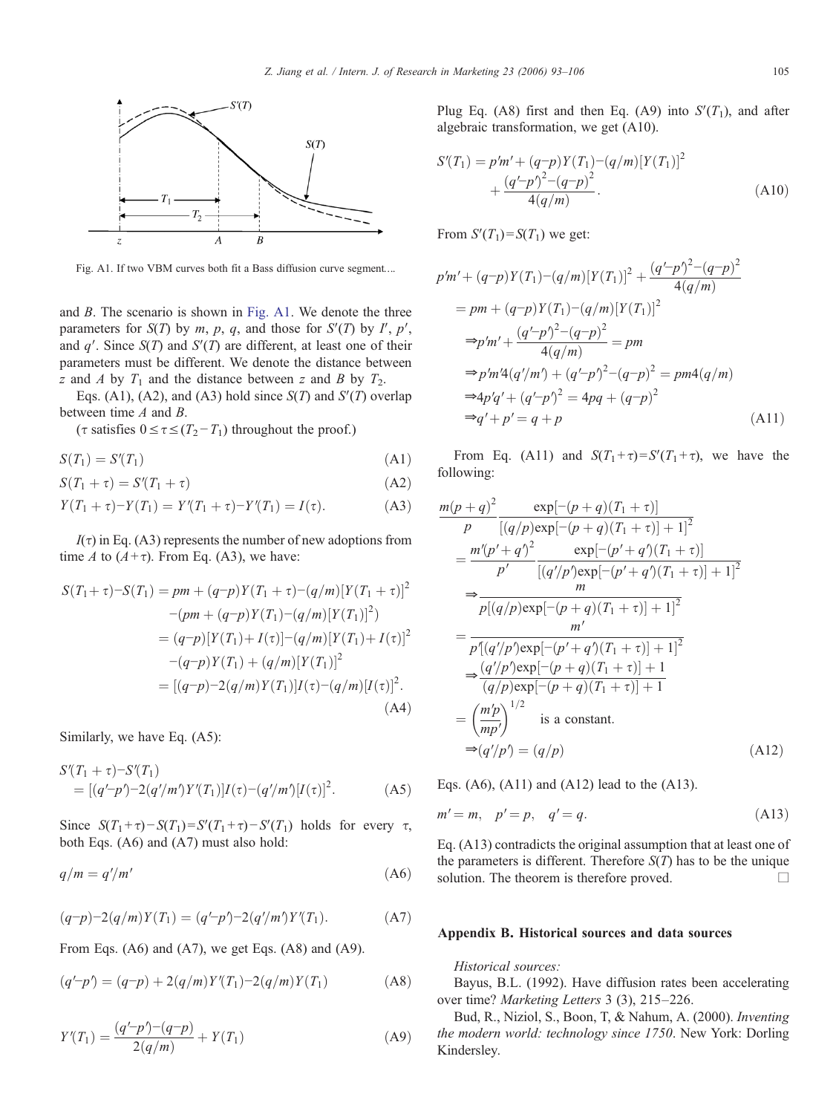

Fig. A1. If two VBM curves both fit a Bass diffusion curve segment….

and B. The scenario is shown in Fig. A1. We denote the three parameters for  $S(T)$  by m, p, q, and those for  $S'(T)$  by  $I'$ , p', and  $q'$ . Since  $S(T)$  and  $S'(T)$  are different, at least one of their parameters must be different. We denote the distance between z and A by  $T_1$  and the distance between z and B by  $T_2$ .

Eqs. (A1), (A2), and (A3) hold since  $S(T)$  and  $S'(T)$  overlap between time A and B.

( $\tau$  satisfies  $0 \le \tau \le (T_2 - T_1)$  throughout the proof.)

$$
S(T_1) = S'(T_1) \tag{A1}
$$

$$
S(T_1 + \tau) = S'(T_1 + \tau) \tag{A2}
$$

$$
Y(T_1 + \tau) - Y(T_1) = Y'(T_1 + \tau) - Y'(T_1) = I(\tau).
$$
 (A3)

 $I(\tau)$  in Eq. (A3) represents the number of new adoptions from time A to  $(A+\tau)$ . From Eq. (A3), we have:

$$
S(T_1 + \tau) - S(T_1) = pm + (q-p)Y(T_1 + \tau) - (q/m)[Y(T_1 + \tau)]^2
$$
  
\n
$$
-(pm + (q-p)Y(T_1) - (q/m)[Y(T_1)]^2)
$$
  
\n
$$
= (q-p)[Y(T_1) + I(\tau)] - (q/m)[Y(T_1) + I(\tau)]^2
$$
  
\n
$$
-(q-p)Y(T_1) + (q/m)[Y(T_1)]^2
$$
  
\n
$$
= [(q-p) - 2(q/m)Y(T_1)]I(\tau) - (q/m)[I(\tau)]^2.
$$
  
\n(A4)

Similarly, we have Eq. (A5):

$$
S'(T_1 + \tau) - S'(T_1)
$$
  
= [(q'-p')-2(q'/m')Y'(T\_1)]I(\tau) - (q'/m')[I(\tau)]<sup>2</sup>. (A5)

Since  $S(T_1+\tau)-S(T_1)=S'(T_1+\tau)-S'(T_1)$  holds for every  $\tau$ , both Eqs. (A6) and (A7) must also hold:

$$
q/m = q'/m'
$$
 (A6)

$$
(q-p)-2(q/m)Y(T_1) = (q'-p')-2(q'/m')Y'(T_1). \tag{A7}
$$

From Eqs. (A6) and (A7), we get Eqs. (A8) and (A9).

$$
(q'-p') = (q-p) + 2(q/m)Y'(T_1) - 2(q/m)Y(T_1)
$$
 (A8)

$$
Y'(T_1) = \frac{(q'-p')-(q-p)}{2(q/m)} + Y(T_1)
$$
\n(A9)

Plug Eq. (A8) first and then Eq. (A9) into  $S'(T_1)$ , and after algebraic transformation, we get (A10).

$$
S'(T_1) = p'm' + (q-p)Y(T_1) - (q/m)[Y(T_1)]^2
$$
  
+ 
$$
\frac{(q'-p')^2 - (q-p)^2}{4(q/m)}.
$$
 (A10)

From  $S'(T_1) = S(T_1)$  we get:

$$
p'm' + (q-p)Y(T_1) - (q/m)[Y(T_1)]^2 + \frac{(q'-p')^2 - (q-p)^2}{4(q/m)}
$$
  
\n
$$
= pm + (q-p)Y(T_1) - (q/m)[Y(T_1)]^2
$$
  
\n
$$
\Rightarrow p'm' + \frac{(q'-p')^2 - (q-p)^2}{4(q/m)} = pm
$$
  
\n
$$
\Rightarrow p'm'4(q'/m') + (q'-p')^2 - (q-p)^2 = pm4(q/m)
$$
  
\n
$$
\Rightarrow 4p'q' + (q'-p')^2 = 4pq + (q-p)^2
$$
  
\n
$$
\Rightarrow q' + p' = q + p
$$
 (A11)

From Eq. (A11) and  $S(T_1+\tau)=S'(T_1+\tau)$ , we have the following:

$$
\frac{m(p+q)^2}{p} \frac{\exp[-(p+q)(T_1+\tau)]}{[(q/p)\exp[-(p+q)(T_1+\tau)]+1]^2}
$$
\n
$$
= \frac{m'(p'+q')^2}{p'} \frac{\exp[-(p'+q')(T_1+\tau)]}{[(q'/p')\exp[-(p'+q')(T_1+\tau)]+1]^2}
$$
\n
$$
\Rightarrow \frac{m}{p[(q/p)\exp[-(p+q)(T_1+\tau)]+1]^2}
$$
\n
$$
= \frac{m'}{p'(q'/p')\exp[-(p'+q')(T_1+\tau)]+1]^2}
$$
\n
$$
\Rightarrow \frac{(q'/p')\exp[-(p+q)(T_1+\tau)]+1}{(q/p)\exp[-(p+q)(T_1+\tau)]+1}
$$
\n
$$
= \left(\frac{m'p}{mp'}\right)^{1/2} \text{ is a constant.}
$$
\n
$$
\Rightarrow (q'/p') = (q/p) \qquad (A12)
$$

Eqs. (A6), (A11) and (A12) lead to the (A13).

$$
m' = m, \quad p' = p, \quad q' = q. \tag{A13}
$$

Eq. (A13) contradicts the original assumption that at least one of the parameters is different. Therefore  $S(T)$  has to be the unique solution. The theorem is therefore proved.  $□$ 

### Appendix B. Historical sources and data sources

Historical sources:

Bayus, B.L. (1992). Have diffusion rates been accelerating over time? Marketing Letters 3 (3), 215–226.

Bud, R., Niziol, S., Boon, T, & Nahum, A. (2000). Inventing the modern world: technology since 1750. New York: Dorling Kindersley.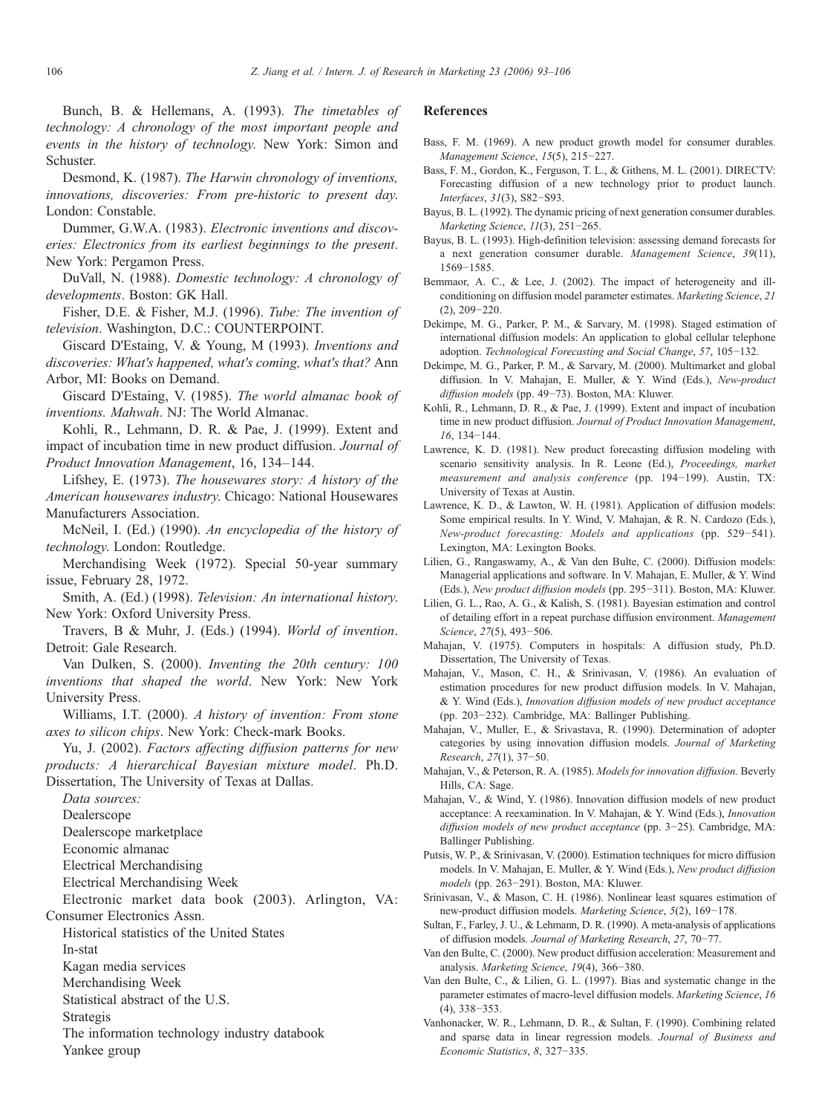<span id="page-13-0"></span>Bunch, B. & Hellemans, A. (1993). The timetables of technology: A chronology of the most important people and events in the history of technology. New York: Simon and Schuster.

Desmond, K. (1987). The Harwin chronology of inventions, innovations, discoveries: From pre-historic to present day. London: Constable.

Dummer, G.W.A. (1983). Electronic inventions and discoveries: Electronics from its earliest beginnings to the present. New York: Pergamon Press.

DuVall, N. (1988). Domestic technology: A chronology of developments. Boston: GK Hall.

Fisher, D.E. & Fisher, M.J. (1996). Tube: The invention of television. Washington, D.C.: COUNTERPOINT.

Giscard D'Estaing, V. & Young, M (1993). Inventions and discoveries: What's happened, what's coming, what's that? Ann Arbor, MI: Books on Demand.

Giscard D'Estaing, V. (1985). The world almanac book of inventions. Mahwah. NJ: The World Almanac.

Kohli, R., Lehmann, D. R. & Pae, J. (1999). Extent and impact of incubation time in new product diffusion. Journal of Product Innovation Management, 16, 134–144.

Lifshey, E. (1973). The housewares story: A history of the American housewares industry. Chicago: National Housewares Manufacturers Association.

McNeil, I. (Ed.) (1990). An encyclopedia of the history of technology. London: Routledge.

Merchandising Week (1972). Special 50-year summary issue, February 28, 1972.

Smith, A. (Ed.) (1998). Television: An international history. New York: Oxford University Press.

Travers, B & Muhr, J. (Eds.) (1994). World of invention. Detroit: Gale Research.

Van Dulken, S. (2000). Inventing the 20th century: 100 inventions that shaped the world. New York: New York University Press.

Williams, I.T. (2000). A history of invention: From stone axes to silicon chips. New York: Check-mark Books.

Yu, J. (2002). Factors affecting diffusion patterns for new products: A hierarchical Bayesian mixture model. Ph.D. Dissertation, The University of Texas at Dallas.

Data sources:

Dealerscope

Dealerscope marketplace

Economic almanac

Electrical Merchandising

Electrical Merchandising Week

Electronic market data book (2003). Arlington, VA: Consumer Electronics Assn.

Historical statistics of the United States

In-stat

Kagan media services

Merchandising Week

Statistical abstract of the U.S.

Strategis

The information technology industry databook

Yankee group

### References

- Bass, F. M. (1969). A new product growth model for consumer durables. Management Science, 15(5), 215−227.
- Bass, F. M., Gordon, K., Ferguson, T. L., & Githens, M. L. (2001). DIRECTV: Forecasting diffusion of a new technology prior to product launch. Interfaces, 31(3), S82−S93.
- Bayus, B. L. (1992). The dynamic pricing of next generation consumer durables. Marketing Science, 11(3), 251−265.
- Bayus, B. L. (1993). High-definition television: assessing demand forecasts for a next generation consumer durable. Management Science, 39(11), 1569−1585.
- Bemmaor, A. C., & Lee, J. (2002). The impact of heterogeneity and illconditioning on diffusion model parameter estimates. Marketing Science, 21 (2), 209−220.
- Dekimpe, M. G., Parker, P. M., & Sarvary, M. (1998). Staged estimation of international diffusion models: An application to global cellular telephone adoption. Technological Forecasting and Social Change, 57, 105−132.
- Dekimpe, M. G., Parker, P. M., & Sarvary, M. (2000). Multimarket and global diffusion. In V. Mahajan, E. Muller, & Y. Wind (Eds.), New-product diffusion models (pp. 49−73). Boston, MA: Kluwer.
- Kohli, R., Lehmann, D. R., & Pae, J. (1999). Extent and impact of incubation time in new product diffusion. Journal of Product Innovation Management, 16, 134−144.
- Lawrence, K. D. (1981). New product forecasting diffusion modeling with scenario sensitivity analysis. In R. Leone (Ed.), Proceedings, market measurement and analysis conference (pp. 194−199). Austin, TX: University of Texas at Austin.
- Lawrence, K. D., & Lawton, W. H. (1981). Application of diffusion models: Some empirical results. In Y. Wind, V. Mahajan, & R. N. Cardozo (Eds.), New-product forecasting: Models and applications (pp. 529−541). Lexington, MA: Lexington Books.
- Lilien, G., Rangaswamy, A., & Van den Bulte, C. (2000). Diffusion models: Managerial applications and software. In V. Mahajan, E. Muller, & Y. Wind (Eds.), New product diffusion models (pp. 295−311). Boston, MA: Kluwer.
- Lilien, G. L., Rao, A. G., & Kalish, S. (1981). Bayesian estimation and control of detailing effort in a repeat purchase diffusion environment. Management Science, 27(5), 493−506.

Mahajan, V. (1975). Computers in hospitals: A diffusion study, Ph.D. Dissertation, The University of Texas.

- Mahajan, V., Mason, C. H., & Srinivasan, V. (1986). An evaluation of estimation procedures for new product diffusion models. In V. Mahajan, & Y. Wind (Eds.), Innovation diffusion models of new product acceptance (pp. 203−232). Cambridge, MA: Ballinger Publishing.
- Mahajan, V., Muller, E., & Srivastava, R. (1990). Determination of adopter categories by using innovation diffusion models. Journal of Marketing Research, 27(1), 37−50.
- Mahajan, V., & Peterson, R. A. (1985). Models for innovation diffusion. Beverly Hills, CA: Sage.
- Mahajan, V., & Wind, Y. (1986). Innovation diffusion models of new product acceptance: A reexamination. In V. Mahajan, & Y. Wind (Eds.), Innovation diffusion models of new product acceptance (pp. 3−25). Cambridge, MA: Ballinger Publishing.
- Putsis, W. P., & Srinivasan, V. (2000). Estimation techniques for micro diffusion models. In V. Mahajan, E. Muller, & Y. Wind (Eds.), New product diffusion models (pp. 263−291). Boston, MA: Kluwer.
- Srinivasan, V., & Mason, C. H. (1986). Nonlinear least squares estimation of new-product diffusion models. Marketing Science, 5(2), 169−178.
- Sultan, F., Farley, J. U., & Lehmann, D. R. (1990). A meta-analysis of applications of diffusion models. Journal of Marketing Research, 27, 70−77.
- Van den Bulte, C. (2000). New product diffusion acceleration: Measurement and analysis. Marketing Science, 19(4), 366−380.
- Van den Bulte, C., & Lilien, G. L. (1997). Bias and systematic change in the parameter estimates of macro-level diffusion models. Marketing Science, 16 (4), 338−353.
- Vanhonacker, W. R., Lehmann, D. R., & Sultan, F. (1990). Combining related and sparse data in linear regression models. Journal of Business and Economic Statistics, 8, 327−335.